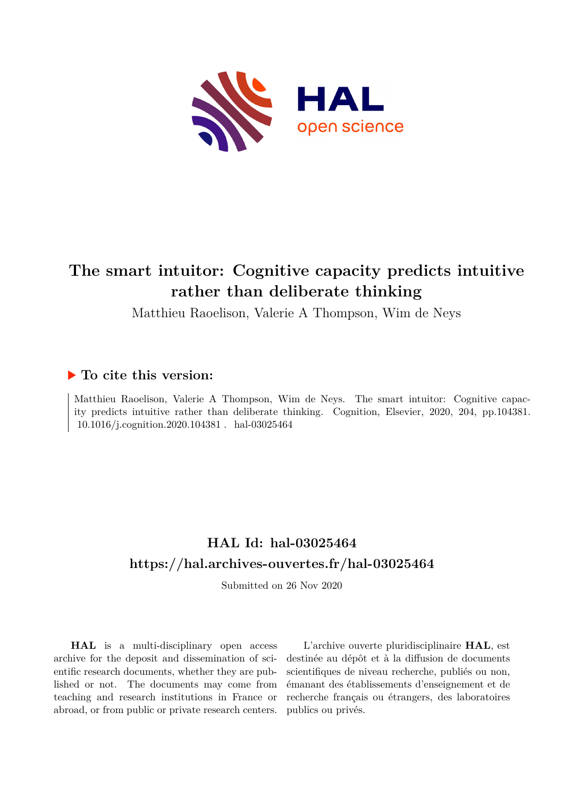

# **The smart intuitor: Cognitive capacity predicts intuitive rather than deliberate thinking**

Matthieu Raoelison, Valerie A Thompson, Wim de Neys

# **To cite this version:**

Matthieu Raoelison, Valerie A Thompson, Wim de Neys. The smart intuitor: Cognitive capacity predicts intuitive rather than deliberate thinking. Cognition, Elsevier, 2020, 204, pp.104381. 10.1016/j.cognition.2020.104381 . hal-03025464

# **HAL Id: hal-03025464 <https://hal.archives-ouvertes.fr/hal-03025464>**

Submitted on 26 Nov 2020

**HAL** is a multi-disciplinary open access archive for the deposit and dissemination of scientific research documents, whether they are published or not. The documents may come from teaching and research institutions in France or abroad, or from public or private research centers.

L'archive ouverte pluridisciplinaire **HAL**, est destinée au dépôt et à la diffusion de documents scientifiques de niveau recherche, publiés ou non, émanant des établissements d'enseignement et de recherche français ou étrangers, des laboratoires publics ou privés.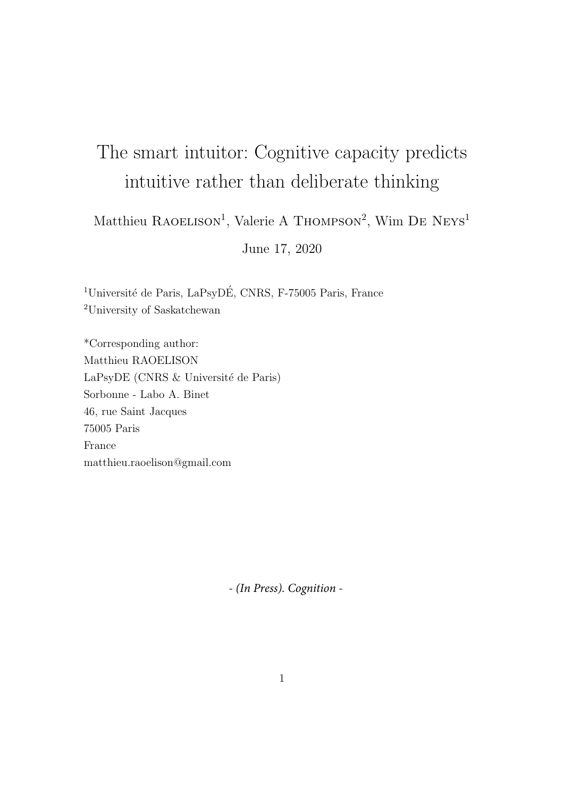# The smart intuitor: Cognitive capacity predicts intuitive rather than deliberate thinking

Matthieu RAOELISON<sup>1</sup>, Valerie A THOMPSON<sup>2</sup>, Wim DE NEYS<sup>1</sup>

June 17, 2020

<sup>1</sup>Université de Paris, LaPsyDÉ, CNRS, F-75005 Paris, France <sup>2</sup>University of Saskatchewan

\*Corresponding author: Matthieu RAOELISON LaPsyDE (CNRS & Université de Paris) Sorbonne - Labo A. Binet 46, rue Saint Jacques 75005 Paris France matthieu.raoelison@gmail.com

*- (In Press). Cognition -*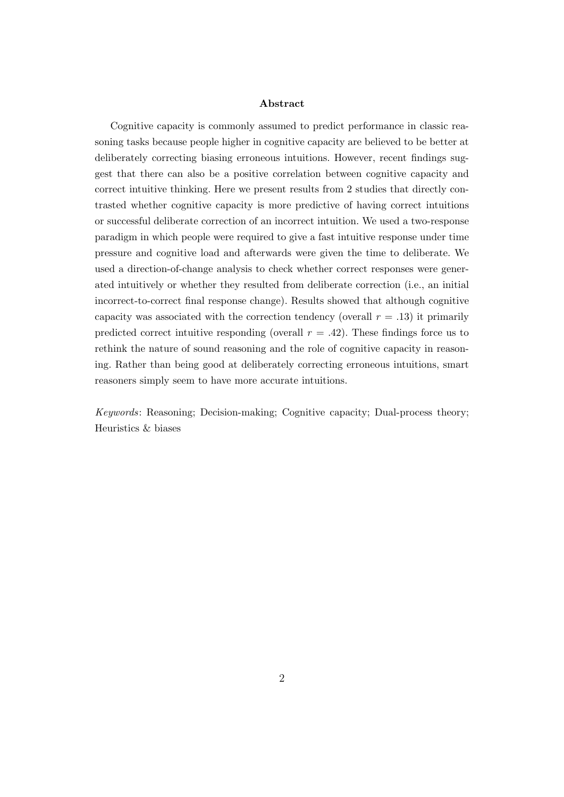#### Abstract

Cognitive capacity is commonly assumed to predict performance in classic reasoning tasks because people higher in cognitive capacity are believed to be better at deliberately correcting biasing erroneous intuitions. However, recent findings suggest that there can also be a positive correlation between cognitive capacity and correct intuitive thinking. Here we present results from 2 studies that directly contrasted whether cognitive capacity is more predictive of having correct intuitions or successful deliberate correction of an incorrect intuition. We used a two-response paradigm in which people were required to give a fast intuitive response under time pressure and cognitive load and afterwards were given the time to deliberate. We used a direction-of-change analysis to check whether correct responses were generated intuitively or whether they resulted from deliberate correction (i.e., an initial incorrect-to-correct final response change). Results showed that although cognitive capacity was associated with the correction tendency (overall  $r = .13$ ) it primarily predicted correct intuitive responding (overall  $r = .42$ ). These findings force us to rethink the nature of sound reasoning and the role of cognitive capacity in reasoning. Rather than being good at deliberately correcting erroneous intuitions, smart reasoners simply seem to have more accurate intuitions.

Keywords: Reasoning; Decision-making; Cognitive capacity; Dual-process theory; Heuristics & biases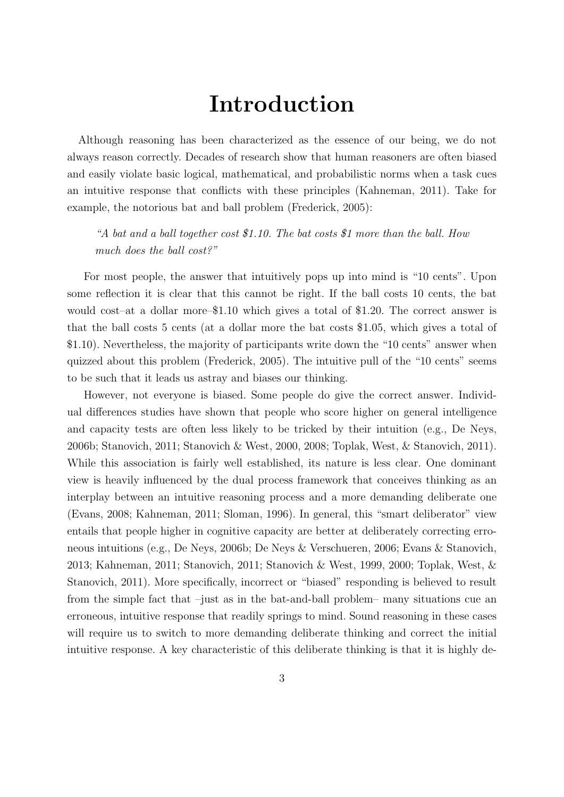# Introduction

Although reasoning has been characterized as the essence of our being, we do not always reason correctly. Decades of research show that human reasoners are often biased and easily violate basic logical, mathematical, and probabilistic norms when a task cues an intuitive response that conflicts with these principles (Kahneman, 2011). Take for example, the notorious bat and ball problem (Frederick, 2005):

"A bat and a ball together cost \$1.10. The bat costs \$1 more than the ball. How much does the ball cost?"

For most people, the answer that intuitively pops up into mind is "10 cents". Upon some reflection it is clear that this cannot be right. If the ball costs 10 cents, the bat would cost–at a dollar more–\$1.10 which gives a total of \$1.20. The correct answer is that the ball costs 5 cents (at a dollar more the bat costs \$1.05, which gives a total of \$1.10). Nevertheless, the majority of participants write down the "10 cents" answer when quizzed about this problem (Frederick, 2005). The intuitive pull of the "10 cents" seems to be such that it leads us astray and biases our thinking.

However, not everyone is biased. Some people do give the correct answer. Individual differences studies have shown that people who score higher on general intelligence and capacity tests are often less likely to be tricked by their intuition (e.g., De Neys, 2006b; Stanovich, 2011; Stanovich & West, 2000, 2008; Toplak, West, & Stanovich, 2011). While this association is fairly well established, its nature is less clear. One dominant view is heavily influenced by the dual process framework that conceives thinking as an interplay between an intuitive reasoning process and a more demanding deliberate one (Evans, 2008; Kahneman, 2011; Sloman, 1996). In general, this "smart deliberator" view entails that people higher in cognitive capacity are better at deliberately correcting erroneous intuitions (e.g., De Neys, 2006b; De Neys & Verschueren, 2006; Evans & Stanovich, 2013; Kahneman, 2011; Stanovich, 2011; Stanovich & West, 1999, 2000; Toplak, West, & Stanovich, 2011). More specifically, incorrect or "biased" responding is believed to result from the simple fact that –just as in the bat-and-ball problem– many situations cue an erroneous, intuitive response that readily springs to mind. Sound reasoning in these cases will require us to switch to more demanding deliberate thinking and correct the initial intuitive response. A key characteristic of this deliberate thinking is that it is highly de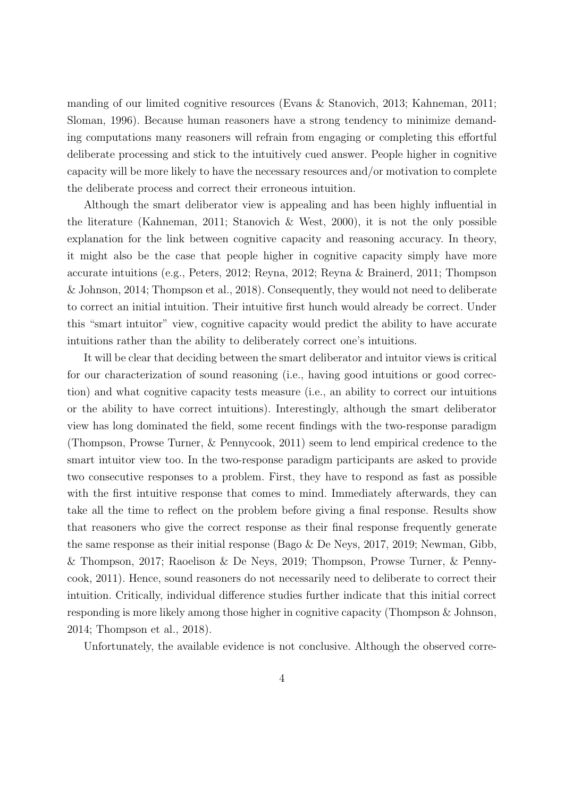manding of our limited cognitive resources (Evans & Stanovich, 2013; Kahneman, 2011; Sloman, 1996). Because human reasoners have a strong tendency to minimize demanding computations many reasoners will refrain from engaging or completing this effortful deliberate processing and stick to the intuitively cued answer. People higher in cognitive capacity will be more likely to have the necessary resources and/or motivation to complete the deliberate process and correct their erroneous intuition.

Although the smart deliberator view is appealing and has been highly influential in the literature (Kahneman, 2011; Stanovich & West, 2000), it is not the only possible explanation for the link between cognitive capacity and reasoning accuracy. In theory, it might also be the case that people higher in cognitive capacity simply have more accurate intuitions (e.g., Peters, 2012; Reyna, 2012; Reyna & Brainerd, 2011; Thompson & Johnson, 2014; Thompson et al., 2018). Consequently, they would not need to deliberate to correct an initial intuition. Their intuitive first hunch would already be correct. Under this "smart intuitor" view, cognitive capacity would predict the ability to have accurate intuitions rather than the ability to deliberately correct one's intuitions.

It will be clear that deciding between the smart deliberator and intuitor views is critical for our characterization of sound reasoning (i.e., having good intuitions or good correction) and what cognitive capacity tests measure (i.e., an ability to correct our intuitions or the ability to have correct intuitions). Interestingly, although the smart deliberator view has long dominated the field, some recent findings with the two-response paradigm (Thompson, Prowse Turner, & Pennycook, 2011) seem to lend empirical credence to the smart intuitor view too. In the two-response paradigm participants are asked to provide two consecutive responses to a problem. First, they have to respond as fast as possible with the first intuitive response that comes to mind. Immediately afterwards, they can take all the time to reflect on the problem before giving a final response. Results show that reasoners who give the correct response as their final response frequently generate the same response as their initial response (Bago & De Neys, 2017, 2019; Newman, Gibb, & Thompson, 2017; Raoelison & De Neys, 2019; Thompson, Prowse Turner, & Pennycook, 2011). Hence, sound reasoners do not necessarily need to deliberate to correct their intuition. Critically, individual difference studies further indicate that this initial correct responding is more likely among those higher in cognitive capacity (Thompson & Johnson, 2014; Thompson et al., 2018).

Unfortunately, the available evidence is not conclusive. Although the observed corre-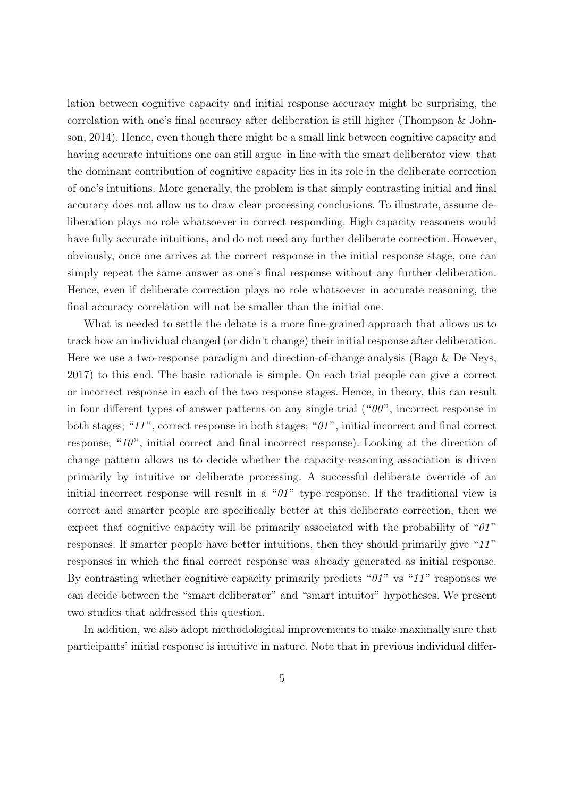lation between cognitive capacity and initial response accuracy might be surprising, the correlation with one's final accuracy after deliberation is still higher (Thompson & Johnson, 2014). Hence, even though there might be a small link between cognitive capacity and having accurate intuitions one can still argue–in line with the smart deliberator view–that the dominant contribution of cognitive capacity lies in its role in the deliberate correction of one's intuitions. More generally, the problem is that simply contrasting initial and final accuracy does not allow us to draw clear processing conclusions. To illustrate, assume deliberation plays no role whatsoever in correct responding. High capacity reasoners would have fully accurate intuitions, and do not need any further deliberate correction. However, obviously, once one arrives at the correct response in the initial response stage, one can simply repeat the same answer as one's final response without any further deliberation. Hence, even if deliberate correction plays no role whatsoever in accurate reasoning, the final accuracy correlation will not be smaller than the initial one.

What is needed to settle the debate is a more fine-grained approach that allows us to track how an individual changed (or didn't change) their initial response after deliberation. Here we use a two-response paradigm and direction-of-change analysis (Bago & De Neys, 2017) to this end. The basic rationale is simple. On each trial people can give a correct or incorrect response in each of the two response stages. Hence, in theory, this can result in four different types of answer patterns on any single trial  $($ " $\theta \theta$ ", incorrect response in both stages; " $11$ ", correct response in both stages; " $01$ ", initial incorrect and final correct response; "10", initial correct and final incorrect response). Looking at the direction of change pattern allows us to decide whether the capacity-reasoning association is driven primarily by intuitive or deliberate processing. A successful deliberate override of an initial incorrect response will result in a " $\partial T$ " type response. If the traditional view is correct and smarter people are specifically better at this deliberate correction, then we expect that cognitive capacity will be primarily associated with the probability of " $01"$ " responses. If smarter people have better intuitions, then they should primarily give "11" responses in which the final correct response was already generated as initial response. By contrasting whether cognitive capacity primarily predicts " $01$ " vs " $11$ " responses we can decide between the "smart deliberator" and "smart intuitor" hypotheses. We present two studies that addressed this question.

In addition, we also adopt methodological improvements to make maximally sure that participants' initial response is intuitive in nature. Note that in previous individual differ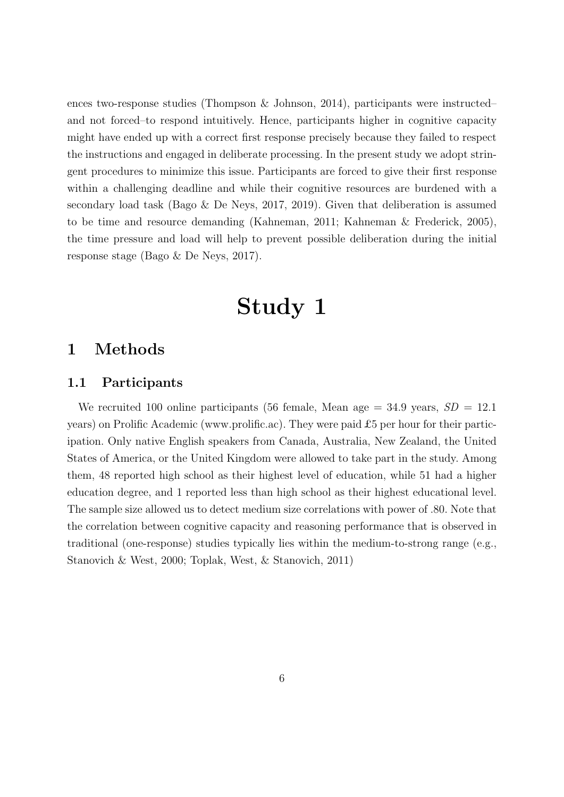ences two-response studies (Thompson & Johnson, 2014), participants were instructed– and not forced–to respond intuitively. Hence, participants higher in cognitive capacity might have ended up with a correct first response precisely because they failed to respect the instructions and engaged in deliberate processing. In the present study we adopt stringent procedures to minimize this issue. Participants are forced to give their first response within a challenging deadline and while their cognitive resources are burdened with a secondary load task (Bago & De Neys, 2017, 2019). Given that deliberation is assumed to be time and resource demanding (Kahneman, 2011; Kahneman & Frederick, 2005), the time pressure and load will help to prevent possible deliberation during the initial response stage (Bago & De Neys, 2017).

# Study 1

# 1 Methods

## 1.1 Participants

We recruited 100 online participants (56 female, Mean age  $=$  34.9 years,  $SD = 12.1$ years) on Prolific Academic (www.prolific.ac). They were paid £5 per hour for their participation. Only native English speakers from Canada, Australia, New Zealand, the United States of America, or the United Kingdom were allowed to take part in the study. Among them, 48 reported high school as their highest level of education, while 51 had a higher education degree, and 1 reported less than high school as their highest educational level. The sample size allowed us to detect medium size correlations with power of .80. Note that the correlation between cognitive capacity and reasoning performance that is observed in traditional (one-response) studies typically lies within the medium-to-strong range (e.g., Stanovich & West, 2000; Toplak, West, & Stanovich, 2011)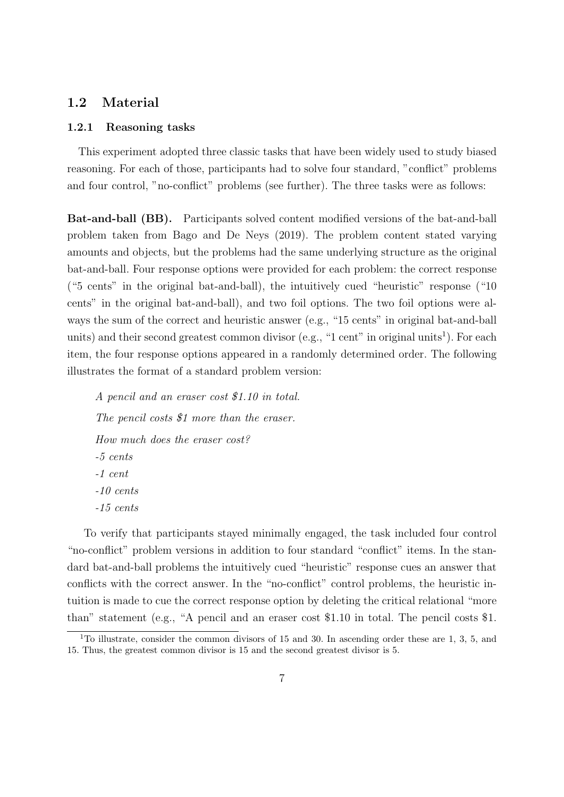## 1.2 Material

#### 1.2.1 Reasoning tasks

This experiment adopted three classic tasks that have been widely used to study biased reasoning. For each of those, participants had to solve four standard, "conflict" problems and four control, "no-conflict" problems (see further). The three tasks were as follows:

Bat-and-ball (BB). Participants solved content modified versions of the bat-and-ball problem taken from Bago and De Neys (2019). The problem content stated varying amounts and objects, but the problems had the same underlying structure as the original bat-and-ball. Four response options were provided for each problem: the correct response ("5 cents" in the original bat-and-ball), the intuitively cued "heuristic" response ("10 cents" in the original bat-and-ball), and two foil options. The two foil options were always the sum of the correct and heuristic answer (e.g., "15 cents" in original bat-and-ball units) and their second greatest common divisor (e.g., "1 cent" in original units<sup>1</sup>). For each item, the four response options appeared in a randomly determined order. The following illustrates the format of a standard problem version:

A pencil and an eraser cost \$1.10 in total. The pencil costs \$1 more than the eraser. How much does the eraser cost? -5 cents -1 cent -10 cents -15 cents

To verify that participants stayed minimally engaged, the task included four control "no-conflict" problem versions in addition to four standard "conflict" items. In the standard bat-and-ball problems the intuitively cued "heuristic" response cues an answer that conflicts with the correct answer. In the "no-conflict" control problems, the heuristic intuition is made to cue the correct response option by deleting the critical relational "more than" statement (e.g., "A pencil and an eraser cost \$1.10 in total. The pencil costs \$1.

 $\overline{^{1}}$ To illustrate, consider the common divisors of 15 and 30. In ascending order these are 1, 3, 5, and 15. Thus, the greatest common divisor is 15 and the second greatest divisor is 5.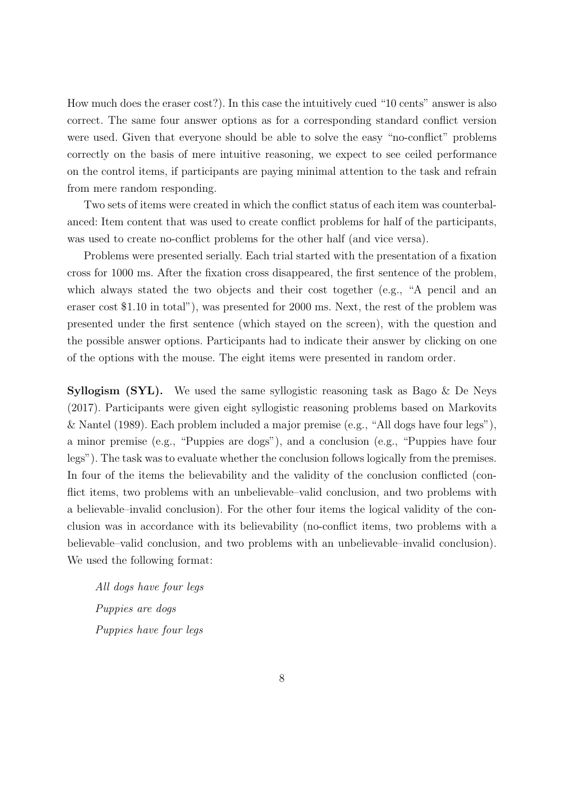How much does the eraser cost?). In this case the intuitively cued "10 cents" answer is also correct. The same four answer options as for a corresponding standard conflict version were used. Given that everyone should be able to solve the easy "no-conflict" problems correctly on the basis of mere intuitive reasoning, we expect to see ceiled performance on the control items, if participants are paying minimal attention to the task and refrain from mere random responding.

Two sets of items were created in which the conflict status of each item was counterbalanced: Item content that was used to create conflict problems for half of the participants, was used to create no-conflict problems for the other half (and vice versa).

Problems were presented serially. Each trial started with the presentation of a fixation cross for 1000 ms. After the fixation cross disappeared, the first sentence of the problem, which always stated the two objects and their cost together (e.g., "A pencil and an eraser cost \$1.10 in total"), was presented for 2000 ms. Next, the rest of the problem was presented under the first sentence (which stayed on the screen), with the question and the possible answer options. Participants had to indicate their answer by clicking on one of the options with the mouse. The eight items were presented in random order.

**Syllogism (SYL).** We used the same syllogistic reasoning task as Bago  $\&$  De Neys (2017). Participants were given eight syllogistic reasoning problems based on Markovits & Nantel (1989). Each problem included a major premise (e.g., "All dogs have four legs"), a minor premise (e.g., "Puppies are dogs"), and a conclusion (e.g., "Puppies have four legs"). The task was to evaluate whether the conclusion follows logically from the premises. In four of the items the believability and the validity of the conclusion conflicted (conflict items, two problems with an unbelievable–valid conclusion, and two problems with a believable–invalid conclusion). For the other four items the logical validity of the conclusion was in accordance with its believability (no-conflict items, two problems with a believable–valid conclusion, and two problems with an unbelievable–invalid conclusion). We used the following format:

All dogs have four legs Puppies are dogs Puppies have four legs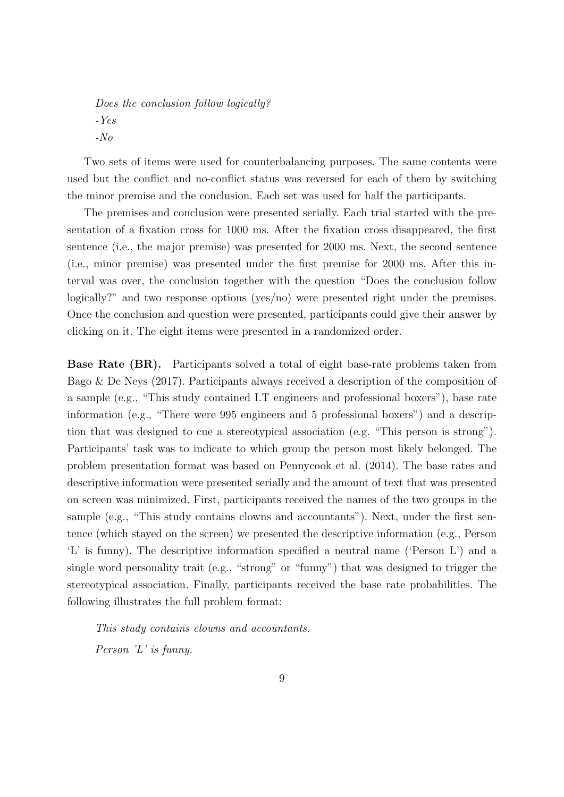Does the conclusion follow logically? -Yes -No

Two sets of items were used for counterbalancing purposes. The same contents were used but the conflict and no-conflict status was reversed for each of them by switching the minor premise and the conclusion. Each set was used for half the participants.

The premises and conclusion were presented serially. Each trial started with the presentation of a fixation cross for 1000 ms. After the fixation cross disappeared, the first sentence (i.e., the major premise) was presented for 2000 ms. Next, the second sentence (i.e., minor premise) was presented under the first premise for 2000 ms. After this interval was over, the conclusion together with the question "Does the conclusion follow logically?" and two response options (yes/no) were presented right under the premises. Once the conclusion and question were presented, participants could give their answer by clicking on it. The eight items were presented in a randomized order.

Base Rate (BR). Participants solved a total of eight base-rate problems taken from Bago & De Neys (2017). Participants always received a description of the composition of a sample (e.g., "This study contained I.T engineers and professional boxers"), base rate information (e.g., "There were 995 engineers and 5 professional boxers") and a description that was designed to cue a stereotypical association (e.g. "This person is strong"). Participants' task was to indicate to which group the person most likely belonged. The problem presentation format was based on Pennycook et al. (2014). The base rates and descriptive information were presented serially and the amount of text that was presented on screen was minimized. First, participants received the names of the two groups in the sample (e.g., "This study contains clowns and accountants"). Next, under the first sentence (which stayed on the screen) we presented the descriptive information (e.g., Person 'L' is funny). The descriptive information specified a neutral name ('Person L') and a single word personality trait (e.g., "strong" or "funny") that was designed to trigger the stereotypical association. Finally, participants received the base rate probabilities. The following illustrates the full problem format:

This study contains clowns and accountants. Person 'L' is funny.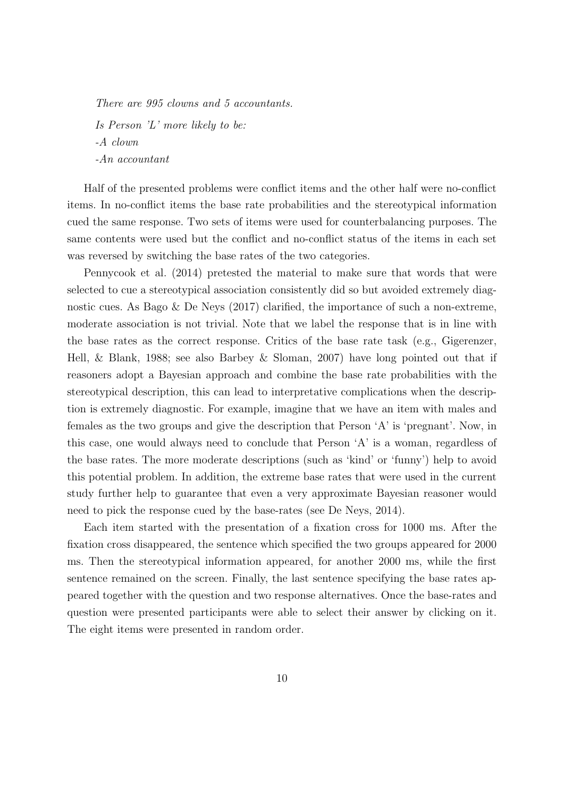There are 995 clowns and 5 accountants. Is Person 'L' more likely to be: -A clown -An accountant

Half of the presented problems were conflict items and the other half were no-conflict items. In no-conflict items the base rate probabilities and the stereotypical information cued the same response. Two sets of items were used for counterbalancing purposes. The same contents were used but the conflict and no-conflict status of the items in each set was reversed by switching the base rates of the two categories.

Pennycook et al. (2014) pretested the material to make sure that words that were selected to cue a stereotypical association consistently did so but avoided extremely diagnostic cues. As Bago & De Neys (2017) clarified, the importance of such a non-extreme, moderate association is not trivial. Note that we label the response that is in line with the base rates as the correct response. Critics of the base rate task (e.g., Gigerenzer, Hell, & Blank, 1988; see also Barbey & Sloman, 2007) have long pointed out that if reasoners adopt a Bayesian approach and combine the base rate probabilities with the stereotypical description, this can lead to interpretative complications when the description is extremely diagnostic. For example, imagine that we have an item with males and females as the two groups and give the description that Person 'A' is 'pregnant'. Now, in this case, one would always need to conclude that Person 'A' is a woman, regardless of the base rates. The more moderate descriptions (such as 'kind' or 'funny') help to avoid this potential problem. In addition, the extreme base rates that were used in the current study further help to guarantee that even a very approximate Bayesian reasoner would need to pick the response cued by the base-rates (see De Neys, 2014).

Each item started with the presentation of a fixation cross for 1000 ms. After the fixation cross disappeared, the sentence which specified the two groups appeared for 2000 ms. Then the stereotypical information appeared, for another 2000 ms, while the first sentence remained on the screen. Finally, the last sentence specifying the base rates appeared together with the question and two response alternatives. Once the base-rates and question were presented participants were able to select their answer by clicking on it. The eight items were presented in random order.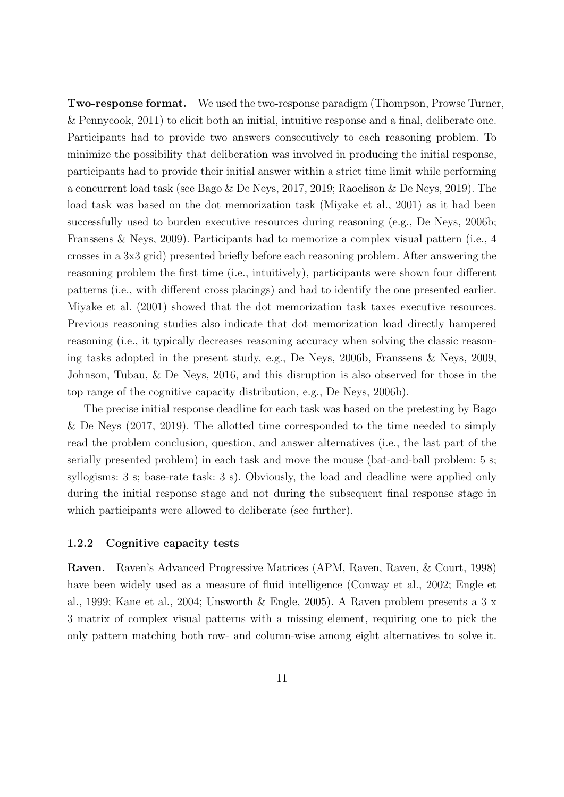Two-response format. We used the two-response paradigm (Thompson, Prowse Turner, & Pennycook, 2011) to elicit both an initial, intuitive response and a final, deliberate one. Participants had to provide two answers consecutively to each reasoning problem. To minimize the possibility that deliberation was involved in producing the initial response, participants had to provide their initial answer within a strict time limit while performing a concurrent load task (see Bago & De Neys, 2017, 2019; Raoelison & De Neys, 2019). The load task was based on the dot memorization task (Miyake et al., 2001) as it had been successfully used to burden executive resources during reasoning (e.g., De Neys, 2006b; Franssens & Neys, 2009). Participants had to memorize a complex visual pattern (i.e., 4 crosses in a 3x3 grid) presented briefly before each reasoning problem. After answering the reasoning problem the first time (i.e., intuitively), participants were shown four different patterns (i.e., with different cross placings) and had to identify the one presented earlier. Miyake et al. (2001) showed that the dot memorization task taxes executive resources. Previous reasoning studies also indicate that dot memorization load directly hampered reasoning (i.e., it typically decreases reasoning accuracy when solving the classic reasoning tasks adopted in the present study, e.g., De Neys, 2006b, Franssens & Neys, 2009, Johnson, Tubau, & De Neys, 2016, and this disruption is also observed for those in the top range of the cognitive capacity distribution, e.g., De Neys, 2006b).

The precise initial response deadline for each task was based on the pretesting by Bago & De Neys (2017, 2019). The allotted time corresponded to the time needed to simply read the problem conclusion, question, and answer alternatives (i.e., the last part of the serially presented problem) in each task and move the mouse (bat-and-ball problem: 5 s; syllogisms: 3 s; base-rate task: 3 s). Obviously, the load and deadline were applied only during the initial response stage and not during the subsequent final response stage in which participants were allowed to deliberate (see further).

#### 1.2.2 Cognitive capacity tests

Raven. Raven's Advanced Progressive Matrices (APM, Raven, Raven, & Court, 1998) have been widely used as a measure of fluid intelligence (Conway et al., 2002; Engle et al., 1999; Kane et al., 2004; Unsworth & Engle, 2005). A Raven problem presents a 3 x 3 matrix of complex visual patterns with a missing element, requiring one to pick the only pattern matching both row- and column-wise among eight alternatives to solve it.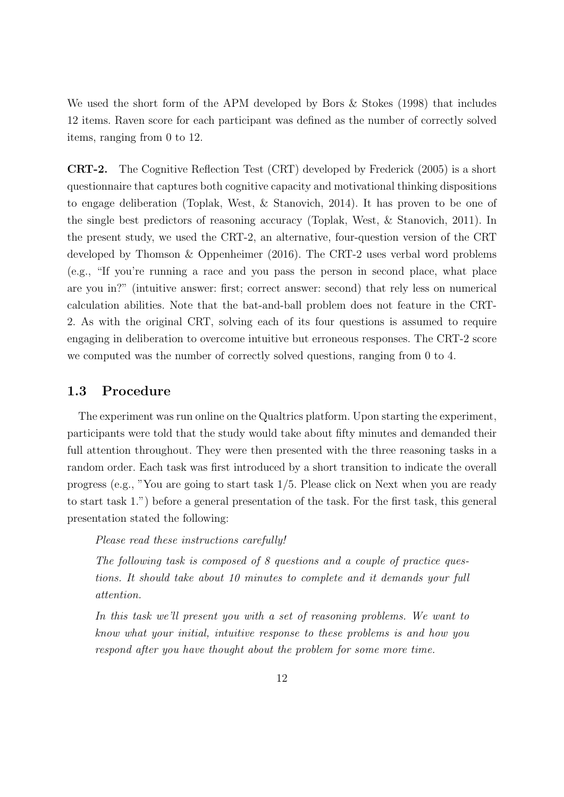We used the short form of the APM developed by Bors & Stokes (1998) that includes 12 items. Raven score for each participant was defined as the number of correctly solved items, ranging from 0 to 12.

CRT-2. The Cognitive Reflection Test (CRT) developed by Frederick (2005) is a short questionnaire that captures both cognitive capacity and motivational thinking dispositions to engage deliberation (Toplak, West, & Stanovich, 2014). It has proven to be one of the single best predictors of reasoning accuracy (Toplak, West, & Stanovich, 2011). In the present study, we used the CRT-2, an alternative, four-question version of the CRT developed by Thomson & Oppenheimer (2016). The CRT-2 uses verbal word problems (e.g., "If you're running a race and you pass the person in second place, what place are you in?" (intuitive answer: first; correct answer: second) that rely less on numerical calculation abilities. Note that the bat-and-ball problem does not feature in the CRT-2. As with the original CRT, solving each of its four questions is assumed to require engaging in deliberation to overcome intuitive but erroneous responses. The CRT-2 score we computed was the number of correctly solved questions, ranging from 0 to 4.

### 1.3 Procedure

The experiment was run online on the Qualtrics platform. Upon starting the experiment, participants were told that the study would take about fifty minutes and demanded their full attention throughout. They were then presented with the three reasoning tasks in a random order. Each task was first introduced by a short transition to indicate the overall progress (e.g., "You are going to start task 1/5. Please click on Next when you are ready to start task 1.") before a general presentation of the task. For the first task, this general presentation stated the following:

Please read these instructions carefully!

The following task is composed of 8 questions and a couple of practice questions. It should take about 10 minutes to complete and it demands your full attention.

In this task we'll present you with a set of reasoning problems. We want to know what your initial, intuitive response to these problems is and how you respond after you have thought about the problem for some more time.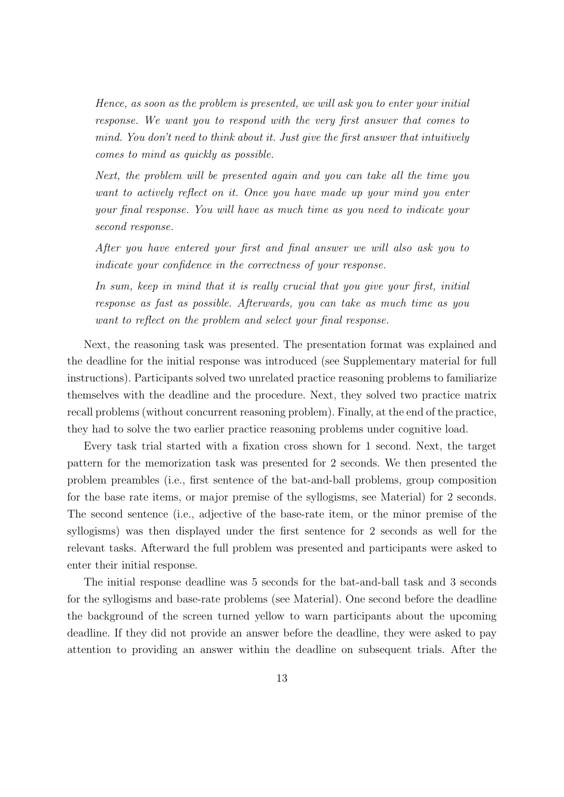Hence, as soon as the problem is presented, we will ask you to enter your initial response. We want you to respond with the very first answer that comes to mind. You don't need to think about it. Just give the first answer that intuitively comes to mind as quickly as possible.

Next, the problem will be presented again and you can take all the time you want to actively reflect on it. Once you have made up your mind you enter your final response. You will have as much time as you need to indicate your second response.

After you have entered your first and final answer we will also ask you to indicate your confidence in the correctness of your response.

In sum, keep in mind that it is really crucial that you give your first, initial response as fast as possible. Afterwards, you can take as much time as you want to reflect on the problem and select your final response.

Next, the reasoning task was presented. The presentation format was explained and the deadline for the initial response was introduced (see Supplementary material for full instructions). Participants solved two unrelated practice reasoning problems to familiarize themselves with the deadline and the procedure. Next, they solved two practice matrix recall problems (without concurrent reasoning problem). Finally, at the end of the practice, they had to solve the two earlier practice reasoning problems under cognitive load.

Every task trial started with a fixation cross shown for 1 second. Next, the target pattern for the memorization task was presented for 2 seconds. We then presented the problem preambles (i.e., first sentence of the bat-and-ball problems, group composition for the base rate items, or major premise of the syllogisms, see Material) for 2 seconds. The second sentence (i.e., adjective of the base-rate item, or the minor premise of the syllogisms) was then displayed under the first sentence for 2 seconds as well for the relevant tasks. Afterward the full problem was presented and participants were asked to enter their initial response.

The initial response deadline was 5 seconds for the bat-and-ball task and 3 seconds for the syllogisms and base-rate problems (see Material). One second before the deadline the background of the screen turned yellow to warn participants about the upcoming deadline. If they did not provide an answer before the deadline, they were asked to pay attention to providing an answer within the deadline on subsequent trials. After the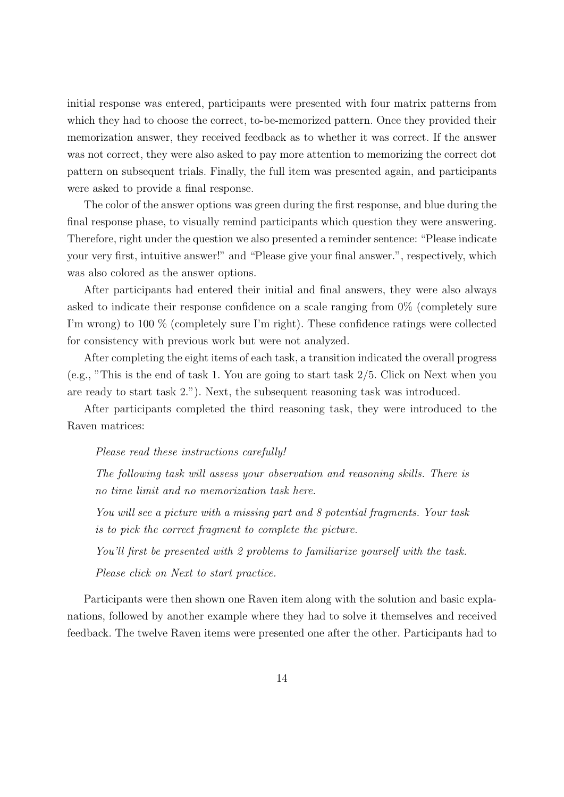initial response was entered, participants were presented with four matrix patterns from which they had to choose the correct, to-be-memorized pattern. Once they provided their memorization answer, they received feedback as to whether it was correct. If the answer was not correct, they were also asked to pay more attention to memorizing the correct dot pattern on subsequent trials. Finally, the full item was presented again, and participants were asked to provide a final response.

The color of the answer options was green during the first response, and blue during the final response phase, to visually remind participants which question they were answering. Therefore, right under the question we also presented a reminder sentence: "Please indicate your very first, intuitive answer!" and "Please give your final answer.", respectively, which was also colored as the answer options.

After participants had entered their initial and final answers, they were also always asked to indicate their response confidence on a scale ranging from 0% (completely sure I'm wrong) to 100 % (completely sure I'm right). These confidence ratings were collected for consistency with previous work but were not analyzed.

After completing the eight items of each task, a transition indicated the overall progress (e.g., "This is the end of task 1. You are going to start task 2/5. Click on Next when you are ready to start task 2."). Next, the subsequent reasoning task was introduced.

After participants completed the third reasoning task, they were introduced to the Raven matrices:

#### Please read these instructions carefully!

The following task will assess your observation and reasoning skills. There is no time limit and no memorization task here.

You will see a picture with a missing part and 8 potential fragments. Your task is to pick the correct fragment to complete the picture.

You'll first be presented with 2 problems to familiarize yourself with the task. Please click on Next to start practice.

Participants were then shown one Raven item along with the solution and basic explanations, followed by another example where they had to solve it themselves and received feedback. The twelve Raven items were presented one after the other. Participants had to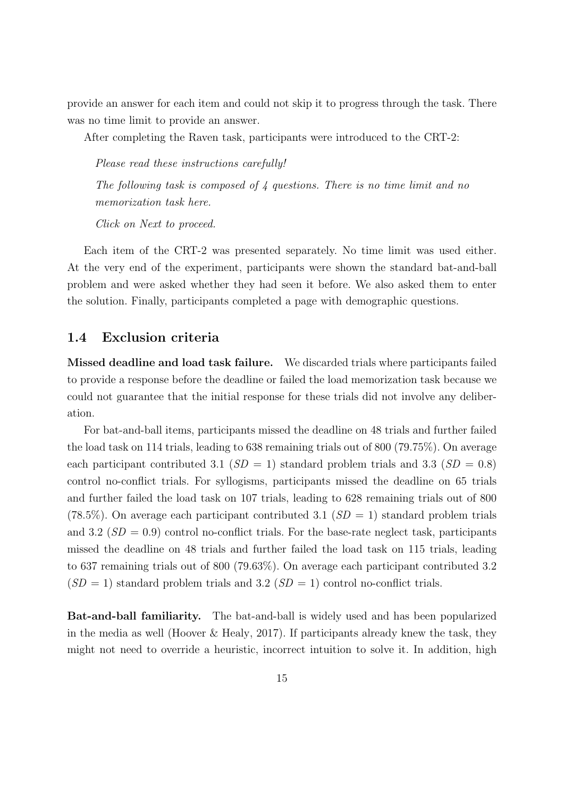provide an answer for each item and could not skip it to progress through the task. There was no time limit to provide an answer.

After completing the Raven task, participants were introduced to the CRT-2:

The following task is composed of  $\lambda$  questions. There is no time limit and no memorization task here.

Click on Next to proceed.

Please read these instructions carefully!

Each item of the CRT-2 was presented separately. No time limit was used either. At the very end of the experiment, participants were shown the standard bat-and-ball problem and were asked whether they had seen it before. We also asked them to enter the solution. Finally, participants completed a page with demographic questions.

## 1.4 Exclusion criteria

Missed deadline and load task failure. We discarded trials where participants failed to provide a response before the deadline or failed the load memorization task because we could not guarantee that the initial response for these trials did not involve any deliberation.

For bat-and-ball items, participants missed the deadline on 48 trials and further failed the load task on 114 trials, leading to 638 remaining trials out of 800 (79.75%). On average each participant contributed 3.1 ( $SD = 1$ ) standard problem trials and 3.3 ( $SD = 0.8$ ) control no-conflict trials. For syllogisms, participants missed the deadline on 65 trials and further failed the load task on 107 trials, leading to 628 remaining trials out of 800 (78.5%). On average each participant contributed 3.1 ( $SD = 1$ ) standard problem trials and 3.2 ( $SD = 0.9$ ) control no-conflict trials. For the base-rate neglect task, participants missed the deadline on 48 trials and further failed the load task on 115 trials, leading to 637 remaining trials out of 800 (79.63%). On average each participant contributed 3.2  $(SD = 1)$  standard problem trials and 3.2  $(SD = 1)$  control no-conflict trials.

Bat-and-ball familiarity. The bat-and-ball is widely used and has been popularized in the media as well (Hoover & Healy, 2017). If participants already knew the task, they might not need to override a heuristic, incorrect intuition to solve it. In addition, high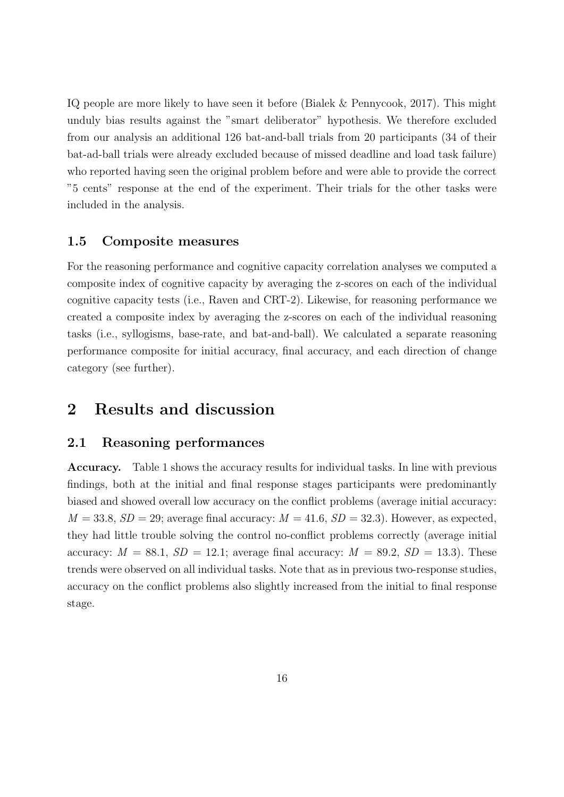IQ people are more likely to have seen it before (Bialek & Pennycook, 2017). This might unduly bias results against the "smart deliberator" hypothesis. We therefore excluded from our analysis an additional 126 bat-and-ball trials from 20 participants (34 of their bat-ad-ball trials were already excluded because of missed deadline and load task failure) who reported having seen the original problem before and were able to provide the correct "5 cents" response at the end of the experiment. Their trials for the other tasks were included in the analysis.

### 1.5 Composite measures

For the reasoning performance and cognitive capacity correlation analyses we computed a composite index of cognitive capacity by averaging the z-scores on each of the individual cognitive capacity tests (i.e., Raven and CRT-2). Likewise, for reasoning performance we created a composite index by averaging the z-scores on each of the individual reasoning tasks (i.e., syllogisms, base-rate, and bat-and-ball). We calculated a separate reasoning performance composite for initial accuracy, final accuracy, and each direction of change category (see further).

# 2 Results and discussion

## 2.1 Reasoning performances

Accuracy. Table 1 shows the accuracy results for individual tasks. In line with previous findings, both at the initial and final response stages participants were predominantly biased and showed overall low accuracy on the conflict problems (average initial accuracy:  $M = 33.8, SD = 29$ ; average final accuracy:  $M = 41.6, SD = 32.3$ . However, as expected, they had little trouble solving the control no-conflict problems correctly (average initial accuracy:  $M = 88.1$ ,  $SD = 12.1$ ; average final accuracy:  $M = 89.2$ ,  $SD = 13.3$ ). These trends were observed on all individual tasks. Note that as in previous two-response studies, accuracy on the conflict problems also slightly increased from the initial to final response stage.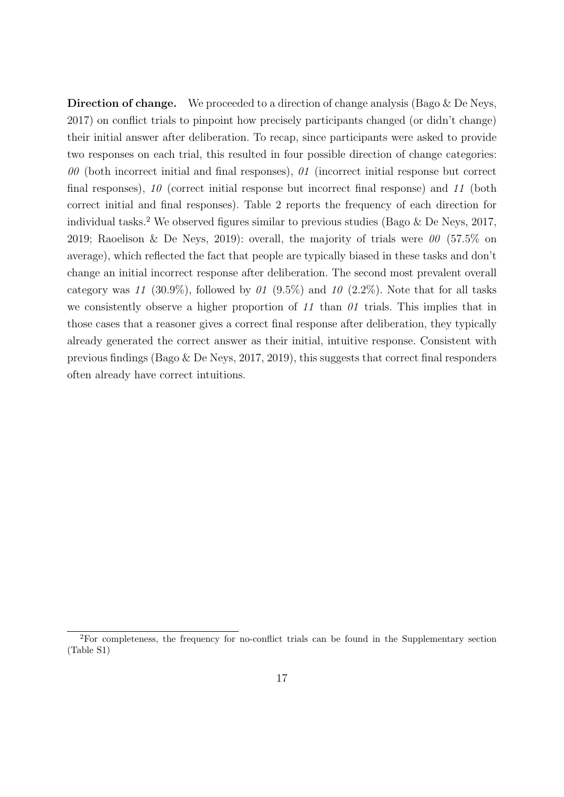Direction of change. We proceeded to a direction of change analysis (Bago & De Neys, 2017) on conflict trials to pinpoint how precisely participants changed (or didn't change) their initial answer after deliberation. To recap, since participants were asked to provide two responses on each trial, this resulted in four possible direction of change categories:  $00$  (both incorrect initial and final responses),  $01$  (incorrect initial response but correct final responses), 10 (correct initial response but incorrect final response) and 11 (both correct initial and final responses). Table 2 reports the frequency of each direction for individual tasks.<sup>2</sup> We observed figures similar to previous studies (Bago  $\&$  De Neys, 2017, 2019; Raoelison & De Neys, 2019): overall, the majority of trials were  $\theta\theta$  (57.5% on average), which reflected the fact that people are typically biased in these tasks and don't change an initial incorrect response after deliberation. The second most prevalent overall category was 11 (30.9%), followed by 01 (9.5%) and 10 (2.2%). Note that for all tasks we consistently observe a higher proportion of  $11$  than  $01$  trials. This implies that in those cases that a reasoner gives a correct final response after deliberation, they typically already generated the correct answer as their initial, intuitive response. Consistent with previous findings (Bago & De Neys, 2017, 2019), this suggests that correct final responders often already have correct intuitions.

<sup>2</sup>For completeness, the frequency for no-conflict trials can be found in the Supplementary section (Table S1)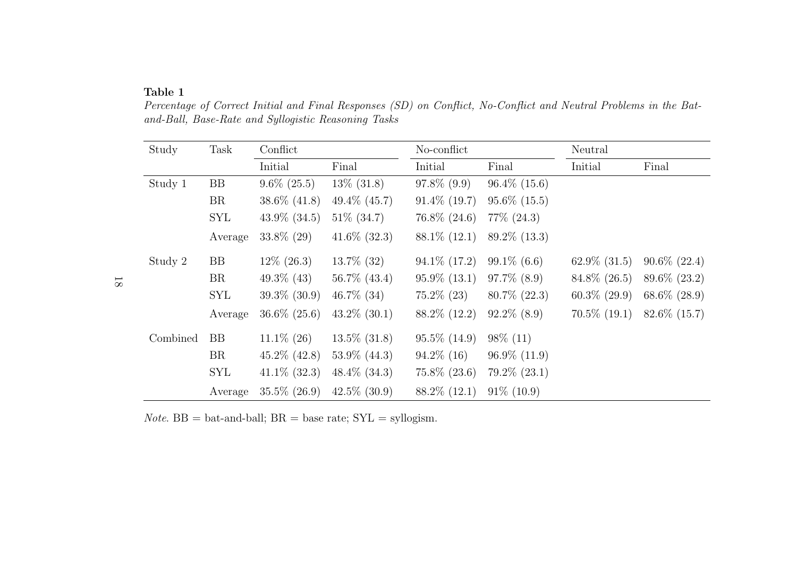#### Table 1

Study Task Conflict No-conflict No-conflict Neutral Initial Final Initial Final Initial FinalStudy 1 BB 9.6% (25.5) 13% (31.8) 97.8% (9.9) 96.4% (15.6) BR 38.6% (41.8) 49.4% (45.7) 91.4% (19.7) 95.6% (15.5)SYL  $43.9\%$   $(34.5)$   $51\%$   $(34.7)$   $76.8\%$   $(24.6)$   $77\%$   $(24.3)$ Average 33.8% (29) 41.6% (32.3) 88.1% (12.1) 89.2% (13.3)Study 2 BB  $12\% (26.3)$   $13.7\% (32)$   $94.1\% (17.2)$   $99.1\% (6.6)$   $62.9\% (31.5)$   $90.6\% (22.4)$ BR  $49.3\%$  (43)  $56.7\%$  (43.4)  $95.9\%$  (13.1)  $97.7\%$  (8.9)  $84.8\%$  (26.5)  $89.6\%$  (23.2)  $\text{SYL}$  39.3% (30.9) 46.7% (34) 75.2% (23) 80.7% (22.3) 60.3% (29.9) 68.6% (28.9) Average 36.6% (25.6) 43.2% (30.1) 88.2% (12.2) 92.2% (8.9) 70.5% (19.1) 82.6% (15.7)Combined BB  $11.1\% (26)$   $13.5\% (31.8)$   $95.5\% (14.9)$   $98\% (11)$ BR  $45.2\% (42.8) 53.9\% (44.3) 94.2\% (16) 96.9\% (11.9)$ SYL 41.1\% (32.3) 48.4\% (34.3) 75.8\% (23.6) 79.2\% (23.1) Average 35.5% (26.9) 42.5% (30.9) 88.2% (12.1) 91% (10.9)

 Percentage of Correct Initial and Final Responses (SD) on Conflict, No-Conflict and Neutral Problems in the Batand-Ball, Base-Rate and Syllogistic Reasoning Tasks

*Note.*  $BB = bat$ -and-ball;  $BR = base$  rate;  $SYL = s$ yllogism.

18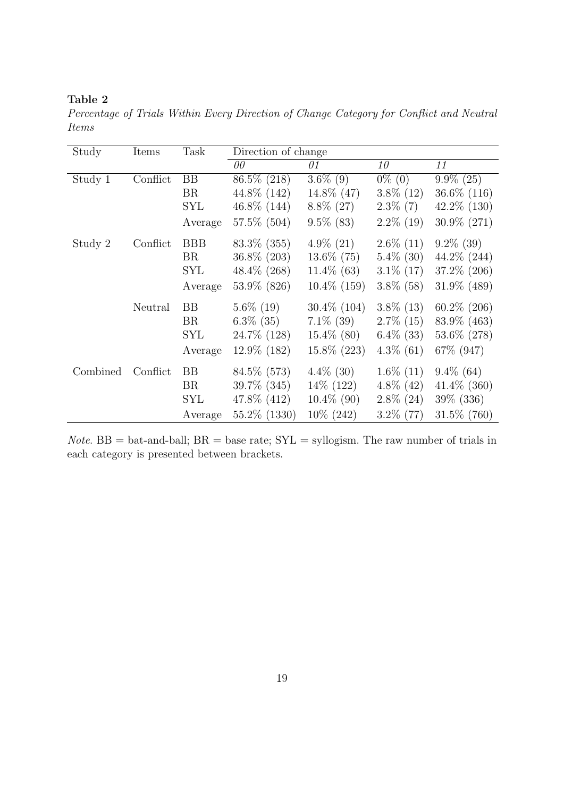## Table 2

Percentage of Trials Within Every Direction of Change Category for Conflict and Neutral Items

| Study    | Items    | Task       | Direction of change |                |              |                |  |
|----------|----------|------------|---------------------|----------------|--------------|----------------|--|
|          |          |            | 00                  | 01             | 10           | 11             |  |
| Study 1  | Conflict | <b>BB</b>  | 86.5% (218)         | $3.6\%$ (9)    | $0\%$ (0)    | $9.9\%$ (25)   |  |
|          |          | <b>BR</b>  | 44.8\% (142)        | 14.8% (47)     | $3.8\%$ (12) | $36.6\%$ (116) |  |
|          |          | SYL        | $46.8\%$ (144)      | $8.8\%$ (27)   | $2.3\%$ (7)  | $42.2\%$ (130) |  |
|          |          | Average    | 57.5% (504)         | $9.5\%$ (83)   | $2.2\%$ (19) | $30.9\%$ (271) |  |
| Study 2  | Conflict | <b>BBB</b> | $83.3\%$ (355)      | $4.9\%$ (21)   | $2.6\%$ (11) | $9.2\%$ (39)   |  |
|          |          | BR         | 36.8% (203)         | $13.6\%$ (75)  | $5.4\%$ (30) | $44.2\%$ (244) |  |
|          |          | SYL        | $48.4\%$ (268)      | $11.4\%$ (63)  | $3.1\%$ (17) | $37.2\%$ (206) |  |
|          |          | Average    | 53.9% (826)         | $10.4\%$ (159) | $3.8\%$ (58) | 31.9% (489)    |  |
|          | Neutral  | <b>BB</b>  | $5.6\%$ (19)        | $30.4\%$ (104) | $3.8\%$ (13) | $60.2\%$ (206) |  |
|          |          | <b>BR</b>  | $6.3\%$ (35)        | $7.1\%$ (39)   | $2.7\%$ (15) | 83.9% (463)    |  |
|          |          | SYL        | 24.7\% (128)        | $15.4\%$ (80)  | $6.4\%$ (33) | $53.6\%$ (278) |  |
|          |          | Average    | $12.9\%$ (182)      | $15.8\%$ (223) | $4.3\%$ (61) | 67\% (947)     |  |
| Combined | Conflict | BB         | 84.5\% (573)        | $4.4\%$ (30)   | $1.6\%$ (11) | $9.4\%$ (64)   |  |
|          |          | <b>BR</b>  | 39.7% (345)         | 14\% (122)     | $4.8\%$ (42) | $41.4\%$ (360) |  |
|          |          | SYL        | 47.8\% (412)        | $10.4\%$ (90)  | $2.8\%$ (24) | $39\%$ (336)   |  |
|          |          | Average    | 55.2\% (1330)       | $10\%$ (242)   | $3.2\%$ (77) | 31.5% (760)    |  |

*Note.* BB = bat-and-ball;  $BR = base$  rate;  $SYL = syllogism$ . The raw number of trials in each category is presented between brackets.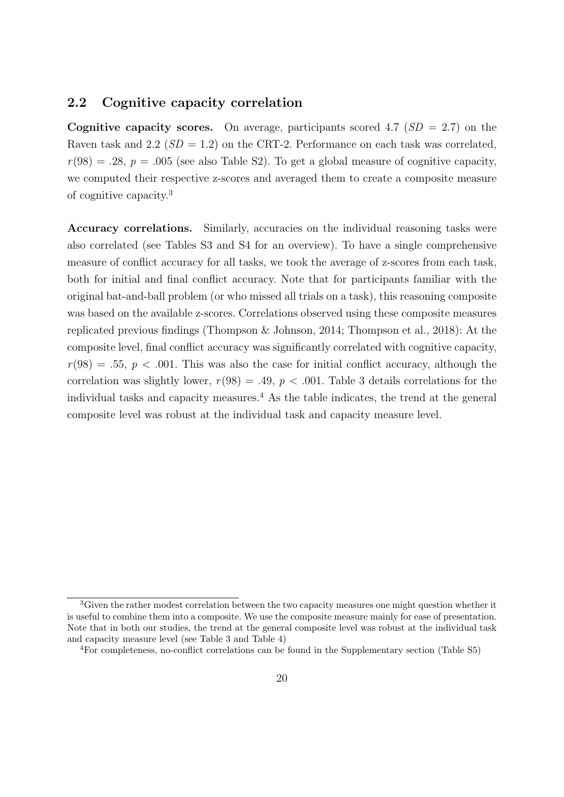## 2.2 Cognitive capacity correlation

**Cognitive capacity scores.** On average, participants scored 4.7 ( $SD = 2.7$ ) on the Raven task and 2.2 ( $SD = 1.2$ ) on the CRT-2. Performance on each task was correlated,  $r(98) = .28$ ,  $p = .005$  (see also Table S2). To get a global measure of cognitive capacity, we computed their respective z-scores and averaged them to create a composite measure of cognitive capacity.<sup>3</sup>

Accuracy correlations. Similarly, accuracies on the individual reasoning tasks were also correlated (see Tables S3 and S4 for an overview). To have a single comprehensive measure of conflict accuracy for all tasks, we took the average of z-scores from each task, both for initial and final conflict accuracy. Note that for participants familiar with the original bat-and-ball problem (or who missed all trials on a task), this reasoning composite was based on the available z-scores. Correlations observed using these composite measures replicated previous findings (Thompson & Johnson, 2014; Thompson et al., 2018): At the composite level, final conflict accuracy was significantly correlated with cognitive capacity,  $r(98) = .55, p < .001$ . This was also the case for initial conflict accuracy, although the correlation was slightly lower,  $r(98) = .49$ ,  $p < .001$ . Table 3 details correlations for the individual tasks and capacity measures.<sup>4</sup> As the table indicates, the trend at the general composite level was robust at the individual task and capacity measure level.

<sup>&</sup>lt;sup>3</sup>Given the rather modest correlation between the two capacity measures one might question whether it is useful to combine them into a composite. We use the composite measure mainly for ease of presentation. Note that in both our studies, the trend at the general composite level was robust at the individual task and capacity measure level (see Table 3 and Table 4)

<sup>4</sup>For completeness, no-conflict correlations can be found in the Supplementary section (Table S5)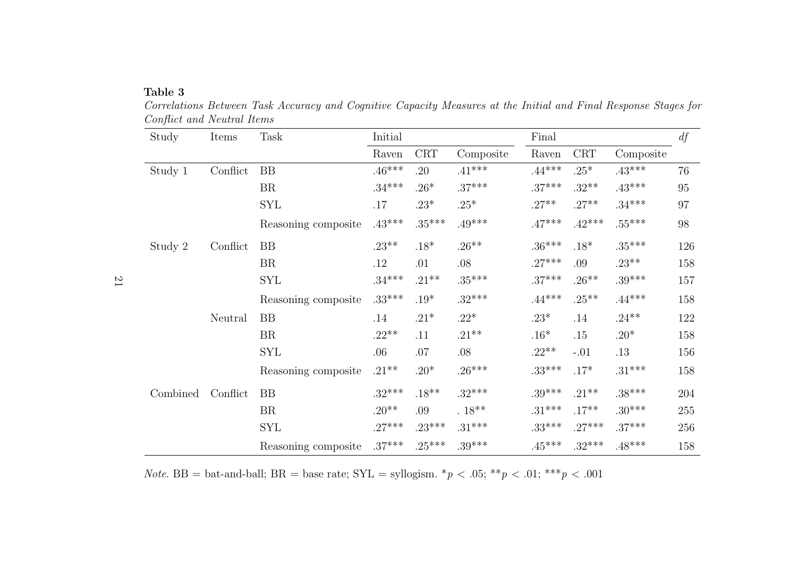#### Table 3

Study Items Task Initial Final $d f$ Raven CRT Composite Raven CRT CompositeStudy <sup>1</sup> Conflict BB .46\*\*\* .20 .41\*\*\* .44\*\*\* .25\* .43\*\*\* 76BR  $34***$  .26\* .37\*\*\* .37\*\*\* .32\*\* .43\*\*\* 95 SYL .17  $23^*$   $25^*$  .27\*\*  $27^{**}$   $34^{***}$  97 Reasoning composite  $.43***$   $.35***$   $.49***$   $.47***$   $.42***$   $.55***$  98 Study <sup>2</sup> Conflict BB .23\*\* .18\* .26\*\* .36\*\*\* .18\* .35\*\*\* 126BR  $12 \t 01 \t 08 \t 27*** \t 09 \t 23*** \t 158$  $\text{SYL}$  .34\*\*\* .21\*\* .35\*\*\* .37\*\*\* .26\*\* .39\*\*\* 157 Reasoning composite  $.33***$   $.19*$   $.32***$   $.44***$   $.25**$   $.44***$   $.158$ Neutral BB .14  $.21^*$   $.22^*$  .23<sup>\*</sup>  $.14$   $.24^{**}$   $.122$ BR .22\*\* .11 .21\*\* .16\* .15 .20\* .158 SYL .06 .07 .08 .22\*\* -.01 .13 .156 Reasoning composite  $.21^{**}$   $.20^*$   $.26^{***}$   $.33^{***}$   $.17^*$   $.31^{***}$  158 Combined Conflict BB .32\*\*\* .18\*\* .32\*\*\* .32\*\*\* .39\*\*\* .39\*\*\* .38\*\*\* 204 BR  $20^{***}$   $09$   $18^{**}$   $31^{***}$   $17^{**}$   $30^{***}$   $255$  $\text{SYL}$  .27\*\*\* .23\*\*\* .31\*\*\* .33\*\*\* .27\*\*\* .37\*\*\* .37 Reasoning composite  $.37***$   $.25***$   $.39***$   $.45***$   $.32***$   $.48***$   $.158$ 

 Correlations Between Task Accuracy and Cognitive Capacity Measures at the Initial and Final Response Stages forConflict and Neutral Items

*Note.* BB = bat-and-ball; BR = base rate;  $SYL = \text{syllogism.}$  \* $p < .05$ ; \*\* $p < .01$ ; \*\*\* $p < .001$ 

 $\overline{2}$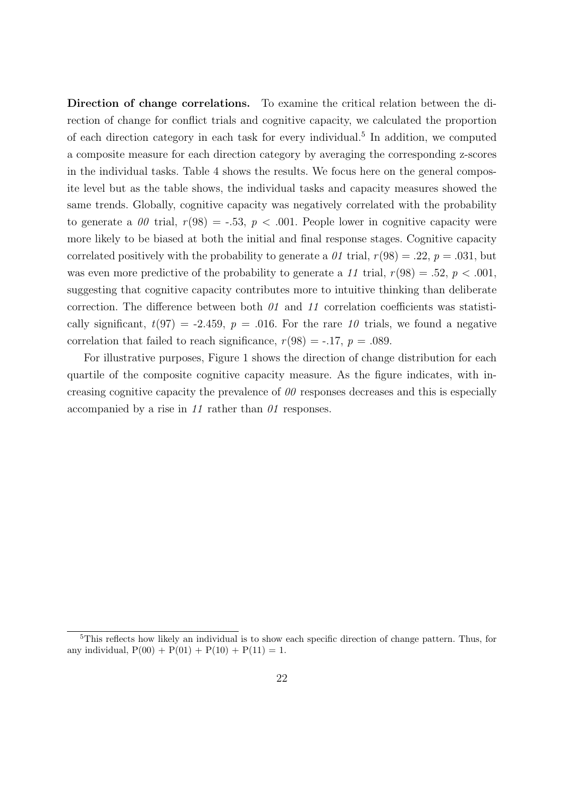Direction of change correlations. To examine the critical relation between the direction of change for conflict trials and cognitive capacity, we calculated the proportion of each direction category in each task for every individual.<sup>5</sup> In addition, we computed a composite measure for each direction category by averaging the corresponding z-scores in the individual tasks. Table 4 shows the results. We focus here on the general composite level but as the table shows, the individual tasks and capacity measures showed the same trends. Globally, cognitive capacity was negatively correlated with the probability to generate a 00 trial,  $r(98) = -.53$ ,  $p < .001$ . People lower in cognitive capacity were more likely to be biased at both the initial and final response stages. Cognitive capacity correlated positively with the probability to generate a  $\theta_1$  trial,  $r(98) = .22$ ,  $p = .031$ , but was even more predictive of the probability to generate a 11 trial,  $r(98) = .52$ ,  $p < .001$ , suggesting that cognitive capacity contributes more to intuitive thinking than deliberate correction. The difference between both  $\theta_1$  and  $\theta_2$  correlation coefficients was statistically significant,  $t(97) = -2.459$ ,  $p = .016$ . For the rare 10 trials, we found a negative correlation that failed to reach significance,  $r(98) = -0.17$ ,  $p = 0.089$ .

For illustrative purposes, Figure 1 shows the direction of change distribution for each quartile of the composite cognitive capacity measure. As the figure indicates, with increasing cognitive capacity the prevalence of  $\theta\theta$  responses decreases and this is especially accompanied by a rise in 11 rather than 01 responses.

<sup>5</sup>This reflects how likely an individual is to show each specific direction of change pattern. Thus, for any individual,  $P(00) + P(01) + P(10) + P(11) = 1$ .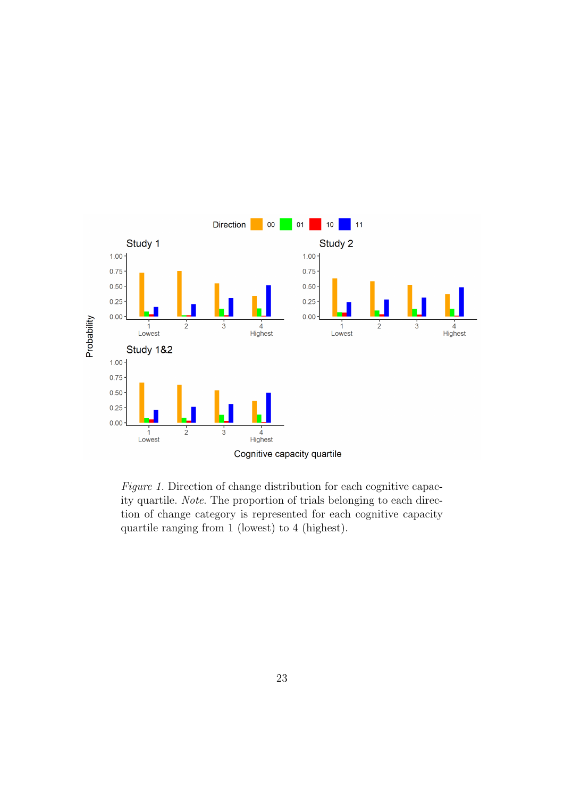

Figure 1. Direction of change distribution for each cognitive capacity quartile. Note. The proportion of trials belonging to each direction of change category is represented for each cognitive capacity quartile ranging from 1 (lowest) to 4 (highest).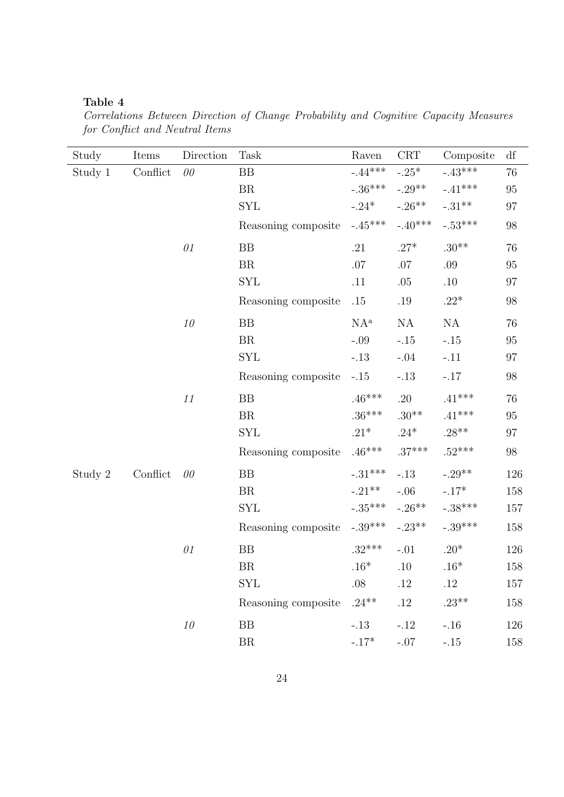## Table 4

Correlations Between Direction of Change Probability and Cognitive Capacity Measures for Conflict and Neutral Items

| Study   | Items    | Direction | Task                | Raven                    | CRT       | Composite         | df       |
|---------|----------|-----------|---------------------|--------------------------|-----------|-------------------|----------|
| Study 1 | Conflict | $00\,$    | BB                  | $-.44***$                | $-.25*$   | $-.43***$         | 76       |
|         |          |           | BR                  | $-.36***$                | $-.29**$  | $-.41***$         | 95       |
|         |          |           | <b>SYL</b>          | $-.24*$                  | $-.26**$  | $-.31^{\ast\ast}$ | 97       |
|         |          |           | Reasoning composite | $-.45***$                | $-.40***$ | $-.53^{***}\,$    | 98       |
|         |          | $\theta1$ | BB                  | .21                      | $.27*$    | $.30**$           | 76       |
|         |          |           | BR                  | $.07\,$                  | $.07\,$   | .09               | $95\,$   |
|         |          |           | <b>SYL</b>          | .11                      | .05       | .10               | $\rm 97$ |
|         |          |           | Reasoning composite | .15                      | .19       | $.22*$            | 98       |
|         |          | $10\,$    | BB                  | $\mathrm{NA}^\mathrm{a}$ | <b>NA</b> | $\mathrm{NA}$     | 76       |
|         |          |           | BR                  | $-.09$                   | $-.15$    | $-.15$            | $95\,$   |
|         |          |           | <b>SYL</b>          | $-.13$                   | $-.04$    | $-.11$            | 97       |
|         |          |           | Reasoning composite | $-.15$                   | $-.13$    | $-.17$            | $98\,$   |
|         |          | $11\,$    | BB                  | $.46***$                 | .20       | $.41***$          | 76       |
|         |          |           | BR                  | $.36***$                 | $.30**$   | $.41***$          | $95\,$   |
|         |          |           | <b>SYL</b>          | $.21^{\ast}$             | $.24*$    | $.28**$           | 97       |
|         |          |           | Reasoning composite | $.46***$                 | $.37***$  | $.52***$          | 98       |
| Study 2 | Conflict | $00\,$    | BB                  | $-.31***$                | $-.13$    | $-.29**$          | 126      |
|         |          |           | BR                  | $-.21**$                 | $-.06$    | $-.17*$           | 158      |
|         |          |           | <b>SYL</b>          | $-.35***$                | $-.26**$  | $-.38***$         | 157      |
|         |          |           | Reasoning composite | $-.39***$                | $-.23**$  | $-.39***$         | 158      |
|         |          | 01        | BB                  | $.32***$                 | $-.01$    | $.20*$            | 126      |
|         |          |           | ${\rm BR}$          | $.16*$                   | .10       | $.16*$            | 158      |
|         |          |           | <b>SYL</b>          | .08                      | $.12\,$   | .12               | 157      |
|         |          |           | Reasoning composite | $.24***$                 | $.12\,$   | $.23**$           | 158      |
|         |          | $10\,$    | BB                  | $-.13$                   | $-.12$    | $-.16$            | 126      |
|         |          |           | BR                  | $-.17*$                  | $-.07$    | $-.15$            | 158      |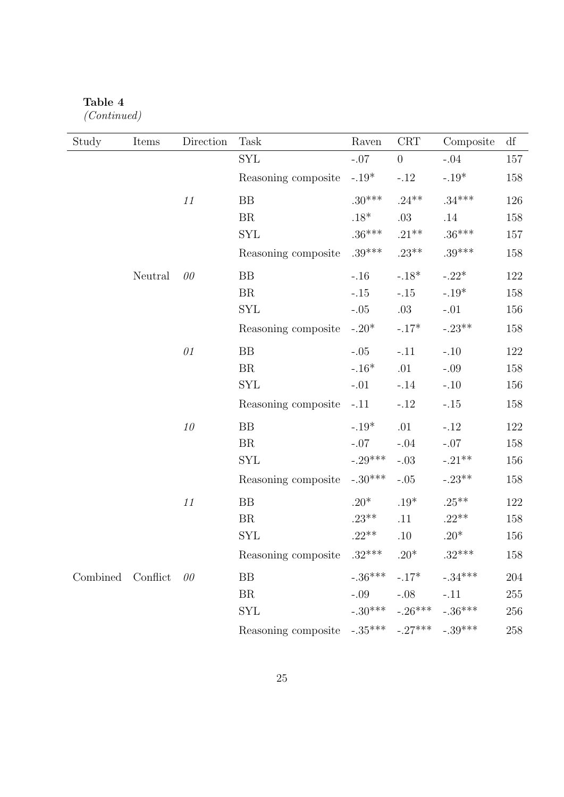# Table 4

(Continued)

| Study    | Items    | $\rm Direction$ | <b>Task</b>                                       | Raven     | CRT                           | Composite | $\mathrm{d}\mathbf{f}$ |
|----------|----------|-----------------|---------------------------------------------------|-----------|-------------------------------|-----------|------------------------|
|          |          |                 | <b>SYL</b>                                        | $-.07$    | $\theta$                      | $-.04$    | 157                    |
|          |          |                 | Reasoning composite                               | $-.19*$   | $-.12$                        | $-.19*$   | 158                    |
|          |          | $11\,$          | BB                                                | $.30***$  | $.24***$                      | $.34***$  | 126                    |
|          |          |                 | BR                                                | .18 $*$   | $.03\,$                       | $.14\,$   | 158                    |
|          |          |                 | <b>SYL</b>                                        | $.36***$  | $.21***$                      | $.36***$  | 157                    |
|          |          |                 | Reasoning composite                               | $.39***$  | $.23***$                      | $.39***$  | 158                    |
|          | Neutral  | 00              | BB                                                | $-.16$    | $-.18*$                       | $-.22*$   | 122                    |
|          |          |                 | <b>BR</b>                                         | $-.15$    | $-.15$                        | $-.19*$   | 158                    |
|          |          |                 | <b>SYL</b>                                        | $-.05$    | $.03\,$                       | $-.01$    | 156                    |
|          |          |                 | Reasoning composite                               | $-.20*$   | $-.17*$                       | $-.23**$  | 158                    |
|          |          | 01              | BB                                                | $-.05$    | $-.11$                        | $-.10$    | 122                    |
|          |          |                 | BR                                                | $-.16*$   | .01                           | $-.09$    | 158                    |
|          |          |                 | <b>SYL</b>                                        | $-.01$    | $-.14$                        | $-.10$    | 156                    |
|          |          |                 | Reasoning composite                               | $-.11$    | $-.12$                        | $-.15$    | 158                    |
|          |          | $10\,$          | BB                                                | $-.19*$   | .01                           | $-.12$    | 122                    |
|          |          |                 | BR                                                | $-.07$    | $-.04$                        | $-.07$    | 158                    |
|          |          |                 | <b>SYL</b>                                        | $-.29***$ | $-.03$                        | $-.21**$  | 156                    |
|          |          |                 | Reasoning composite                               | $-.30***$ | $-.05$                        | $-.23**$  | 158                    |
|          |          | $11\,$          | ${\rm BB}$                                        | $.20*$    | $.19^{\ast}$                  | $.25***$  | 122                    |
|          |          |                 | BR                                                | $.23***$  | .11                           | $.22**$   | 158                    |
|          |          |                 | <b>SYL</b>                                        | $.22**$   | $.10\,$                       | $.20*$    | 156                    |
|          |          |                 | Reasoning composite $.32***$                      |           | $.20*$                        | $.32***$  | 158                    |
| Combined | Conflict | 00              | BB                                                |           | $-.36***$ $-.17*$             | $-.34***$ | 204                    |
|          |          |                 | <b>BR</b>                                         | $-.09$    | $-.08$                        | $-.11$    | 255                    |
|          |          |                 | <b>SYL</b>                                        |           | $-.30***$ $-.26***$ $-.36***$ |           | 256                    |
|          |          |                 | Reasoning composite $-.35***$ $-.27***$ $-.39***$ |           |                               |           | 258                    |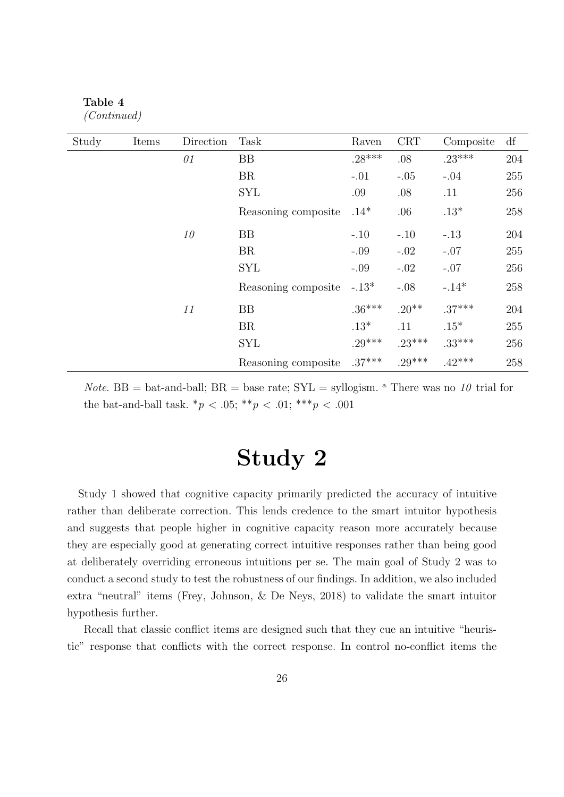| Study | Items | Direction | Task                | Raven    | <b>CRT</b> | Composite | df      |
|-------|-------|-----------|---------------------|----------|------------|-----------|---------|
|       |       | 01        | <b>BB</b>           | $.28***$ | .08        | $.23***$  | 204     |
|       |       |           | <b>BR</b>           | $-.01$   | $-.05$     | $-.04$    | 255     |
|       |       |           | <b>SYL</b>          | .09      | .08        | .11       | 256     |
|       |       |           | Reasoning composite | $.14*$   | .06        | $.13*$    | 258     |
|       |       | 10        | <b>BB</b>           | $-.10$   | $-.10$     | $-.13$    | 204     |
|       |       |           | <b>BR</b>           | $-.09$   | $-.02$     | $-.07$    | 255     |
|       |       |           | <b>SYL</b>          | $-.09$   | $-.02$     | $-.07$    | 256     |
|       |       |           | Reasoning composite | $-.13*$  | $-.08$     | $-.14*$   | 258     |
|       |       | 11        | BB                  | $.36***$ | $.20**$    | $.37***$  | $204\,$ |
|       |       |           | BR                  | $.13*$   | .11        | $.15*$    | 255     |
|       |       |           | <b>SYL</b>          | $.29***$ | $.23***$   | $.33***$  | 256     |
|       |       |           | Reasoning composite | $.37***$ | $.29***$   | $.42***$  | 258     |

Table 4 (Continued)

*Note.* BB = bat-and-ball; BR = base rate;  $SYL =$  syllogism. <sup>a</sup> There was no 10 trial for the bat-and-ball task.  $*_{p}$  < .05;  $**_{p}$  < .01;  $***_{p}$  < .001

# Study 2

Study 1 showed that cognitive capacity primarily predicted the accuracy of intuitive rather than deliberate correction. This lends credence to the smart intuitor hypothesis and suggests that people higher in cognitive capacity reason more accurately because they are especially good at generating correct intuitive responses rather than being good at deliberately overriding erroneous intuitions per se. The main goal of Study 2 was to conduct a second study to test the robustness of our findings. In addition, we also included extra "neutral" items (Frey, Johnson, & De Neys, 2018) to validate the smart intuitor hypothesis further.

Recall that classic conflict items are designed such that they cue an intuitive "heuristic" response that conflicts with the correct response. In control no-conflict items the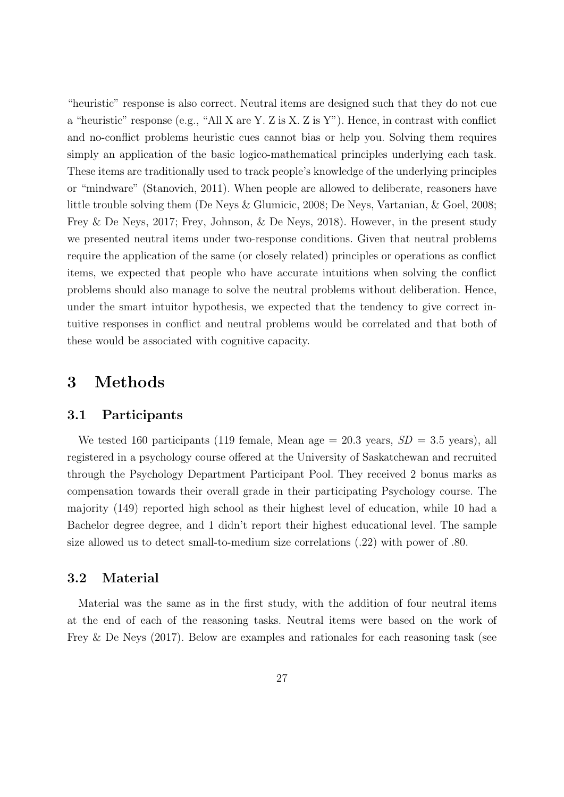"heuristic" response is also correct. Neutral items are designed such that they do not cue a "heuristic" response (e.g., "All X are Y. Z is X. Z is Y"). Hence, in contrast with conflict and no-conflict problems heuristic cues cannot bias or help you. Solving them requires simply an application of the basic logico-mathematical principles underlying each task. These items are traditionally used to track people's knowledge of the underlying principles or "mindware" (Stanovich, 2011). When people are allowed to deliberate, reasoners have little trouble solving them (De Neys & Glumicic, 2008; De Neys, Vartanian, & Goel, 2008; Frey & De Neys, 2017; Frey, Johnson, & De Neys, 2018). However, in the present study we presented neutral items under two-response conditions. Given that neutral problems require the application of the same (or closely related) principles or operations as conflict items, we expected that people who have accurate intuitions when solving the conflict problems should also manage to solve the neutral problems without deliberation. Hence, under the smart intuitor hypothesis, we expected that the tendency to give correct intuitive responses in conflict and neutral problems would be correlated and that both of these would be associated with cognitive capacity.

# 3 Methods

## 3.1 Participants

We tested 160 participants (119 female, Mean age  $= 20.3$  years,  $SD = 3.5$  years), all registered in a psychology course offered at the University of Saskatchewan and recruited through the Psychology Department Participant Pool. They received 2 bonus marks as compensation towards their overall grade in their participating Psychology course. The majority (149) reported high school as their highest level of education, while 10 had a Bachelor degree degree, and 1 didn't report their highest educational level. The sample size allowed us to detect small-to-medium size correlations (.22) with power of .80.

## 3.2 Material

Material was the same as in the first study, with the addition of four neutral items at the end of each of the reasoning tasks. Neutral items were based on the work of Frey & De Neys (2017). Below are examples and rationales for each reasoning task (see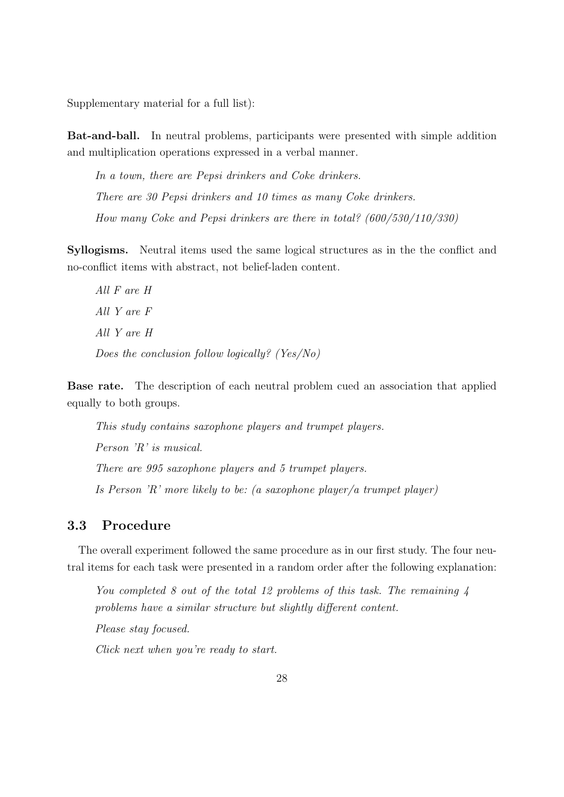Supplementary material for a full list):

Bat-and-ball. In neutral problems, participants were presented with simple addition and multiplication operations expressed in a verbal manner.

In a town, there are Pepsi drinkers and Coke drinkers. There are 30 Pepsi drinkers and 10 times as many Coke drinkers. How many Coke and Pepsi drinkers are there in total? (600/530/110/330)

Syllogisms. Neutral items used the same logical structures as in the the conflict and no-conflict items with abstract, not belief-laden content.

All F are H All Y are F All Y are H Does the conclusion follow logically? (Yes/No)

Base rate. The description of each neutral problem cued an association that applied equally to both groups.

This study contains saxophone players and trumpet players. Person 'R' is musical. There are 995 saxophone players and 5 trumpet players. Is Person 'R' more likely to be: (a saxophone player/a trumpet player)

# 3.3 Procedure

The overall experiment followed the same procedure as in our first study. The four neutral items for each task were presented in a random order after the following explanation:

You completed 8 out of the total 12 problems of this task. The remaining 4 problems have a similar structure but slightly different content.

Please stay focused.

Click next when you're ready to start.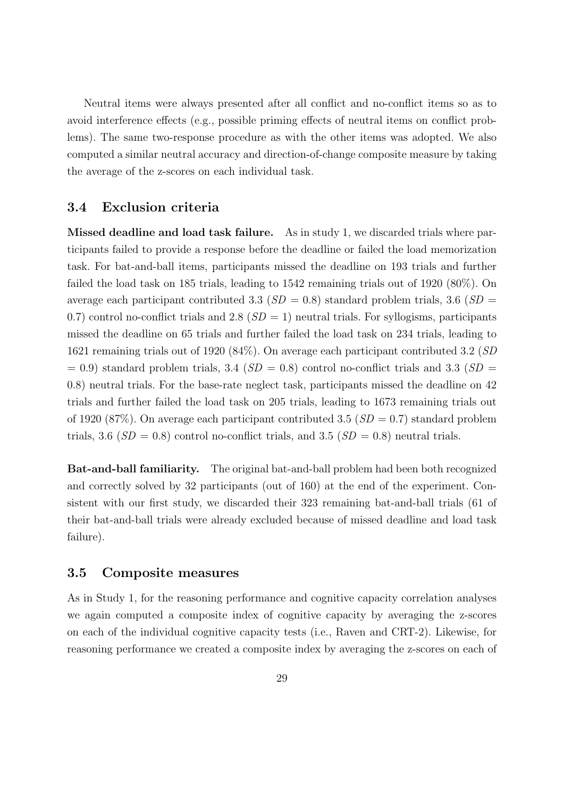Neutral items were always presented after all conflict and no-conflict items so as to avoid interference effects (e.g., possible priming effects of neutral items on conflict problems). The same two-response procedure as with the other items was adopted. We also computed a similar neutral accuracy and direction-of-change composite measure by taking the average of the z-scores on each individual task.

## 3.4 Exclusion criteria

Missed deadline and load task failure. As in study 1, we discarded trials where participants failed to provide a response before the deadline or failed the load memorization task. For bat-and-ball items, participants missed the deadline on 193 trials and further failed the load task on 185 trials, leading to 1542 remaining trials out of 1920 (80%). On average each participant contributed 3.3 ( $SD = 0.8$ ) standard problem trials, 3.6 ( $SD =$ 0.7) control no-conflict trials and 2.8  $(SD = 1)$  neutral trials. For syllogisms, participants missed the deadline on 65 trials and further failed the load task on 234 trials, leading to 1621 remaining trials out of 1920 (84%). On average each participant contributed 3.2 (SD  $= 0.9$ ) standard problem trials, 3.4 ( $SD = 0.8$ ) control no-conflict trials and 3.3 ( $SD = 0.9$ ) 0.8) neutral trials. For the base-rate neglect task, participants missed the deadline on 42 trials and further failed the load task on 205 trials, leading to 1673 remaining trials out of 1920 (87%). On average each participant contributed 3.5 ( $SD = 0.7$ ) standard problem trials, 3.6 ( $SD = 0.8$ ) control no-conflict trials, and 3.5 ( $SD = 0.8$ ) neutral trials.

Bat-and-ball familiarity. The original bat-and-ball problem had been both recognized and correctly solved by 32 participants (out of 160) at the end of the experiment. Consistent with our first study, we discarded their 323 remaining bat-and-ball trials (61 of their bat-and-ball trials were already excluded because of missed deadline and load task failure).

#### 3.5 Composite measures

As in Study 1, for the reasoning performance and cognitive capacity correlation analyses we again computed a composite index of cognitive capacity by averaging the z-scores on each of the individual cognitive capacity tests (i.e., Raven and CRT-2). Likewise, for reasoning performance we created a composite index by averaging the z-scores on each of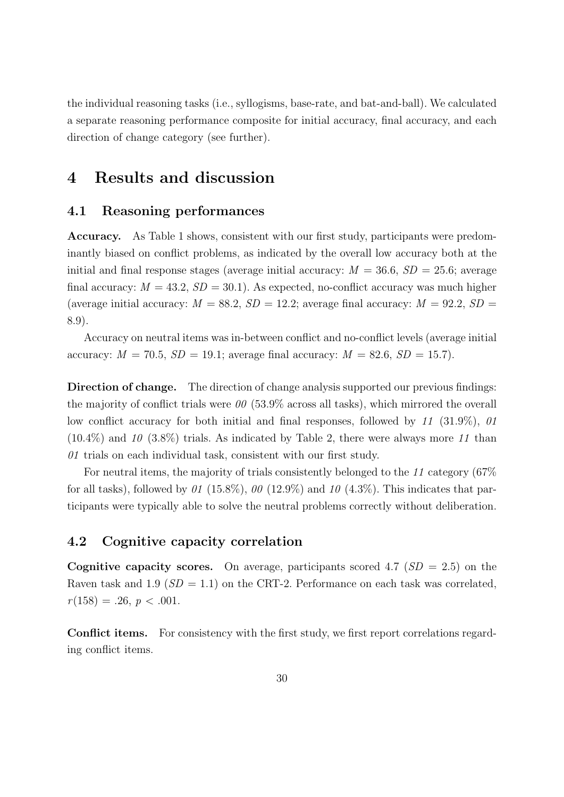the individual reasoning tasks (i.e., syllogisms, base-rate, and bat-and-ball). We calculated a separate reasoning performance composite for initial accuracy, final accuracy, and each direction of change category (see further).

# 4 Results and discussion

## 4.1 Reasoning performances

Accuracy. As Table 1 shows, consistent with our first study, participants were predominantly biased on conflict problems, as indicated by the overall low accuracy both at the initial and final response stages (average initial accuracy:  $M = 36.6$ ,  $SD = 25.6$ ; average final accuracy:  $M = 43.2$ ,  $SD = 30.1$ ). As expected, no-conflict accuracy was much higher (average initial accuracy:  $M = 88.2$ ,  $SD = 12.2$ ; average final accuracy:  $M = 92.2$ ,  $SD =$ 8.9).

Accuracy on neutral items was in-between conflict and no-conflict levels (average initial accuracy:  $M = 70.5$ ,  $SD = 19.1$ ; average final accuracy:  $M = 82.6$ ,  $SD = 15.7$ ).

Direction of change. The direction of change analysis supported our previous findings: the majority of conflict trials were  $\theta\theta$  (53.9% across all tasks), which mirrored the overall low conflict accuracy for both initial and final responses, followed by 11 (31.9%), 01  $(10.4\%)$  and 10 (3.8%) trials. As indicated by Table 2, there were always more 11 than 01 trials on each individual task, consistent with our first study.

For neutral items, the majority of trials consistently belonged to the 11 category (67% for all tasks), followed by 01 (15.8%), 00 (12.9%) and 10 (4.3%). This indicates that participants were typically able to solve the neutral problems correctly without deliberation.

## 4.2 Cognitive capacity correlation

**Cognitive capacity scores.** On average, participants scored 4.7 ( $SD = 2.5$ ) on the Raven task and 1.9 ( $SD = 1.1$ ) on the CRT-2. Performance on each task was correlated,  $r(158) = .26, p < .001.$ 

Conflict items. For consistency with the first study, we first report correlations regarding conflict items.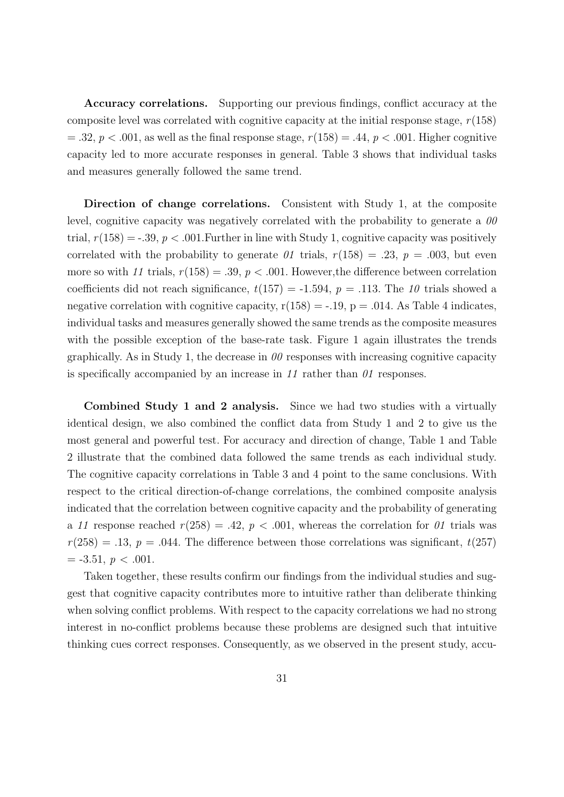Accuracy correlations. Supporting our previous findings, conflict accuracy at the composite level was correlated with cognitive capacity at the initial response stage,  $r(158)$  $= .32, p < .001$ , as well as the final response stage,  $r(158) = .44, p < .001$ . Higher cognitive capacity led to more accurate responses in general. Table 3 shows that individual tasks and measures generally followed the same trend.

Direction of change correlations. Consistent with Study 1, at the composite level, cognitive capacity was negatively correlated with the probability to generate a  $\theta\theta$ trial,  $r(158) = -0.39$ ,  $p < 0.001$ . Further in line with Study 1, cognitive capacity was positively correlated with the probability to generate  $\theta$ 1 trials,  $r(158) = .23$ ,  $p = .003$ , but even more so with 11 trials,  $r(158) = .39$ ,  $p < .001$ . However, the difference between correlation coefficients did not reach significance,  $t(157) = -1.594$ ,  $p = .113$ . The 10 trials showed a negative correlation with cognitive capacity,  $r(158) = -.19$ ,  $p = .014$ . As Table 4 indicates, individual tasks and measures generally showed the same trends as the composite measures with the possible exception of the base-rate task. Figure 1 again illustrates the trends graphically. As in Study 1, the decrease in  $\theta\theta$  responses with increasing cognitive capacity is specifically accompanied by an increase in 11 rather than  $\theta$ 1 responses.

Combined Study 1 and 2 analysis. Since we had two studies with a virtually identical design, we also combined the conflict data from Study 1 and 2 to give us the most general and powerful test. For accuracy and direction of change, Table 1 and Table 2 illustrate that the combined data followed the same trends as each individual study. The cognitive capacity correlations in Table 3 and 4 point to the same conclusions. With respect to the critical direction-of-change correlations, the combined composite analysis indicated that the correlation between cognitive capacity and the probability of generating a 11 response reached  $r(258) = .42$ ,  $p < .001$ , whereas the correlation for 01 trials was  $r(258) = .13, p = .044$ . The difference between those correlations was significant,  $t(257)$  $=-3.51, p < .001.$ 

Taken together, these results confirm our findings from the individual studies and suggest that cognitive capacity contributes more to intuitive rather than deliberate thinking when solving conflict problems. With respect to the capacity correlations we had no strong interest in no-conflict problems because these problems are designed such that intuitive thinking cues correct responses. Consequently, as we observed in the present study, accu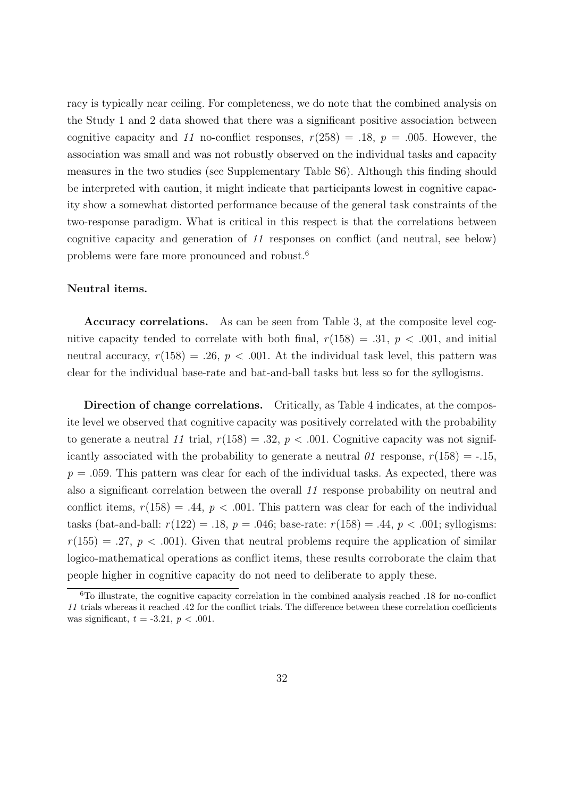racy is typically near ceiling. For completeness, we do note that the combined analysis on the Study 1 and 2 data showed that there was a significant positive association between cognitive capacity and 11 no-conflict responses,  $r(258) = .18$ ,  $p = .005$ . However, the association was small and was not robustly observed on the individual tasks and capacity measures in the two studies (see Supplementary Table S6). Although this finding should be interpreted with caution, it might indicate that participants lowest in cognitive capacity show a somewhat distorted performance because of the general task constraints of the two-response paradigm. What is critical in this respect is that the correlations between cognitive capacity and generation of 11 responses on conflict (and neutral, see below) problems were fare more pronounced and robust.<sup>6</sup>

#### Neutral items.

Accuracy correlations. As can be seen from Table 3, at the composite level cognitive capacity tended to correlate with both final,  $r(158) = .31, p < .001$ , and initial neutral accuracy,  $r(158) = .26$ ,  $p < .001$ . At the individual task level, this pattern was clear for the individual base-rate and bat-and-ball tasks but less so for the syllogisms.

Direction of change correlations. Critically, as Table 4 indicates, at the composite level we observed that cognitive capacity was positively correlated with the probability to generate a neutral 11 trial,  $r(158) = .32$ ,  $p < .001$ . Cognitive capacity was not significantly associated with the probability to generate a neutral  $\theta$  response,  $r(158) = -0.15$ ,  $p = .059$ . This pattern was clear for each of the individual tasks. As expected, there was also a significant correlation between the overall 11 response probability on neutral and conflict items,  $r(158) = .44$ ,  $p < .001$ . This pattern was clear for each of the individual tasks (bat-and-ball:  $r(122) = .18$ ,  $p = .046$ ; base-rate:  $r(158) = .44$ ,  $p < .001$ ; syllogisms:  $r(155) = .27, p < .001$ . Given that neutral problems require the application of similar logico-mathematical operations as conflict items, these results corroborate the claim that people higher in cognitive capacity do not need to deliberate to apply these.

 $6T_0$  illustrate, the cognitive capacity correlation in the combined analysis reached .18 for no-conflict 11 trials whereas it reached .42 for the conflict trials. The difference between these correlation coefficients was significant,  $t = -3.21$ ,  $p < .001$ .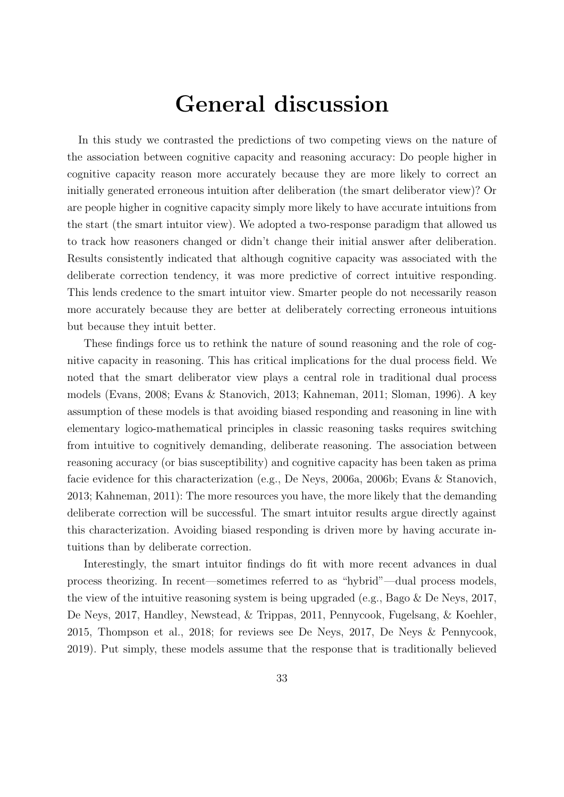# General discussion

In this study we contrasted the predictions of two competing views on the nature of the association between cognitive capacity and reasoning accuracy: Do people higher in cognitive capacity reason more accurately because they are more likely to correct an initially generated erroneous intuition after deliberation (the smart deliberator view)? Or are people higher in cognitive capacity simply more likely to have accurate intuitions from the start (the smart intuitor view). We adopted a two-response paradigm that allowed us to track how reasoners changed or didn't change their initial answer after deliberation. Results consistently indicated that although cognitive capacity was associated with the deliberate correction tendency, it was more predictive of correct intuitive responding. This lends credence to the smart intuitor view. Smarter people do not necessarily reason more accurately because they are better at deliberately correcting erroneous intuitions but because they intuit better.

These findings force us to rethink the nature of sound reasoning and the role of cognitive capacity in reasoning. This has critical implications for the dual process field. We noted that the smart deliberator view plays a central role in traditional dual process models (Evans, 2008; Evans & Stanovich, 2013; Kahneman, 2011; Sloman, 1996). A key assumption of these models is that avoiding biased responding and reasoning in line with elementary logico-mathematical principles in classic reasoning tasks requires switching from intuitive to cognitively demanding, deliberate reasoning. The association between reasoning accuracy (or bias susceptibility) and cognitive capacity has been taken as prima facie evidence for this characterization (e.g., De Neys, 2006a, 2006b; Evans & Stanovich, 2013; Kahneman, 2011): The more resources you have, the more likely that the demanding deliberate correction will be successful. The smart intuitor results argue directly against this characterization. Avoiding biased responding is driven more by having accurate intuitions than by deliberate correction.

Interestingly, the smart intuitor findings do fit with more recent advances in dual process theorizing. In recent—sometimes referred to as "hybrid"—dual process models, the view of the intuitive reasoning system is being upgraded (e.g., Bago & De Neys, 2017, De Neys, 2017, Handley, Newstead, & Trippas, 2011, Pennycook, Fugelsang, & Koehler, 2015, Thompson et al., 2018; for reviews see De Neys, 2017, De Neys & Pennycook, 2019). Put simply, these models assume that the response that is traditionally believed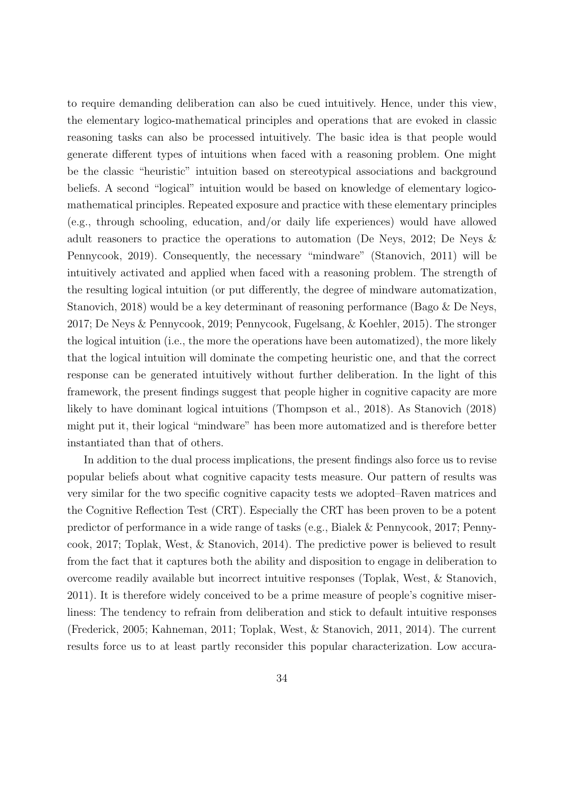to require demanding deliberation can also be cued intuitively. Hence, under this view, the elementary logico-mathematical principles and operations that are evoked in classic reasoning tasks can also be processed intuitively. The basic idea is that people would generate different types of intuitions when faced with a reasoning problem. One might be the classic "heuristic" intuition based on stereotypical associations and background beliefs. A second "logical" intuition would be based on knowledge of elementary logicomathematical principles. Repeated exposure and practice with these elementary principles (e.g., through schooling, education, and/or daily life experiences) would have allowed adult reasoners to practice the operations to automation (De Neys, 2012; De Neys & Pennycook, 2019). Consequently, the necessary "mindware" (Stanovich, 2011) will be intuitively activated and applied when faced with a reasoning problem. The strength of the resulting logical intuition (or put differently, the degree of mindware automatization, Stanovich, 2018) would be a key determinant of reasoning performance (Bago & De Neys, 2017; De Neys & Pennycook, 2019; Pennycook, Fugelsang, & Koehler, 2015). The stronger the logical intuition (i.e., the more the operations have been automatized), the more likely that the logical intuition will dominate the competing heuristic one, and that the correct response can be generated intuitively without further deliberation. In the light of this framework, the present findings suggest that people higher in cognitive capacity are more likely to have dominant logical intuitions (Thompson et al., 2018). As Stanovich (2018) might put it, their logical "mindware" has been more automatized and is therefore better instantiated than that of others.

In addition to the dual process implications, the present findings also force us to revise popular beliefs about what cognitive capacity tests measure. Our pattern of results was very similar for the two specific cognitive capacity tests we adopted–Raven matrices and the Cognitive Reflection Test (CRT). Especially the CRT has been proven to be a potent predictor of performance in a wide range of tasks (e.g., Bialek & Pennycook, 2017; Pennycook, 2017; Toplak, West, & Stanovich, 2014). The predictive power is believed to result from the fact that it captures both the ability and disposition to engage in deliberation to overcome readily available but incorrect intuitive responses (Toplak, West, & Stanovich, 2011). It is therefore widely conceived to be a prime measure of people's cognitive miserliness: The tendency to refrain from deliberation and stick to default intuitive responses (Frederick, 2005; Kahneman, 2011; Toplak, West, & Stanovich, 2011, 2014). The current results force us to at least partly reconsider this popular characterization. Low accura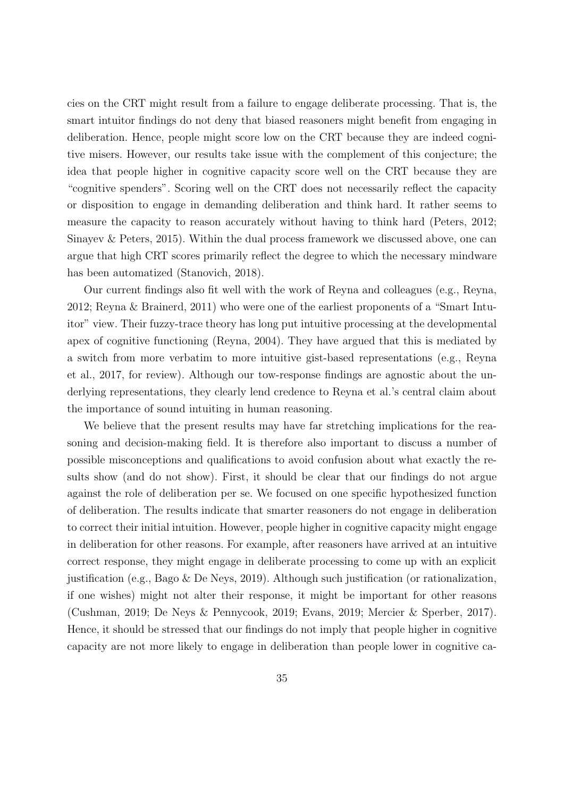cies on the CRT might result from a failure to engage deliberate processing. That is, the smart intuitor findings do not deny that biased reasoners might benefit from engaging in deliberation. Hence, people might score low on the CRT because they are indeed cognitive misers. However, our results take issue with the complement of this conjecture; the idea that people higher in cognitive capacity score well on the CRT because they are "cognitive spenders". Scoring well on the CRT does not necessarily reflect the capacity or disposition to engage in demanding deliberation and think hard. It rather seems to measure the capacity to reason accurately without having to think hard (Peters, 2012; Sinayev & Peters, 2015). Within the dual process framework we discussed above, one can argue that high CRT scores primarily reflect the degree to which the necessary mindware has been automatized (Stanovich, 2018).

Our current findings also fit well with the work of Reyna and colleagues (e.g., Reyna, 2012; Reyna & Brainerd, 2011) who were one of the earliest proponents of a "Smart Intuitor" view. Their fuzzy-trace theory has long put intuitive processing at the developmental apex of cognitive functioning (Reyna, 2004). They have argued that this is mediated by a switch from more verbatim to more intuitive gist-based representations (e.g., Reyna et al., 2017, for review). Although our tow-response findings are agnostic about the underlying representations, they clearly lend credence to Reyna et al.'s central claim about the importance of sound intuiting in human reasoning.

We believe that the present results may have far stretching implications for the reasoning and decision-making field. It is therefore also important to discuss a number of possible misconceptions and qualifications to avoid confusion about what exactly the results show (and do not show). First, it should be clear that our findings do not argue against the role of deliberation per se. We focused on one specific hypothesized function of deliberation. The results indicate that smarter reasoners do not engage in deliberation to correct their initial intuition. However, people higher in cognitive capacity might engage in deliberation for other reasons. For example, after reasoners have arrived at an intuitive correct response, they might engage in deliberate processing to come up with an explicit justification (e.g., Bago & De Neys, 2019). Although such justification (or rationalization, if one wishes) might not alter their response, it might be important for other reasons (Cushman, 2019; De Neys & Pennycook, 2019; Evans, 2019; Mercier & Sperber, 2017). Hence, it should be stressed that our findings do not imply that people higher in cognitive capacity are not more likely to engage in deliberation than people lower in cognitive ca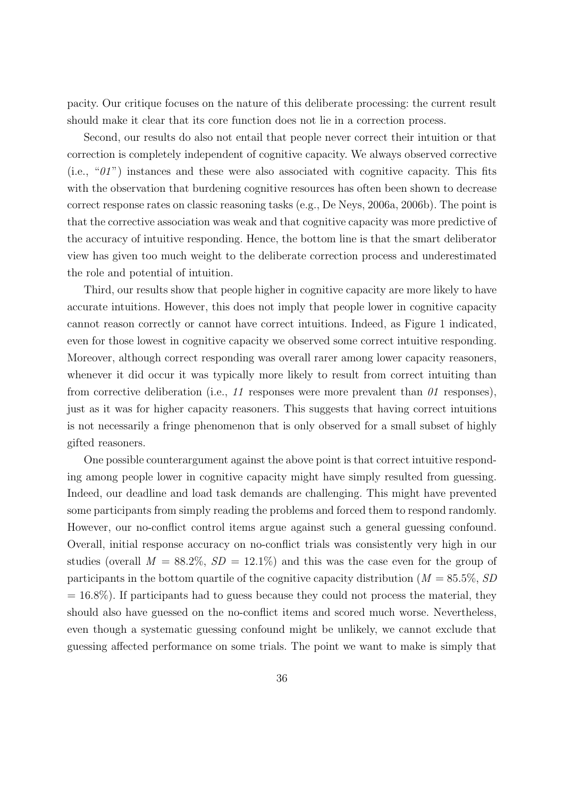pacity. Our critique focuses on the nature of this deliberate processing: the current result should make it clear that its core function does not lie in a correction process.

Second, our results do also not entail that people never correct their intuition or that correction is completely independent of cognitive capacity. We always observed corrective (i.e.,  $\mathscr{C}(I)^n$ ) instances and these were also associated with cognitive capacity. This fits with the observation that burdening cognitive resources has often been shown to decrease correct response rates on classic reasoning tasks (e.g., De Neys, 2006a, 2006b). The point is that the corrective association was weak and that cognitive capacity was more predictive of the accuracy of intuitive responding. Hence, the bottom line is that the smart deliberator view has given too much weight to the deliberate correction process and underestimated the role and potential of intuition.

Third, our results show that people higher in cognitive capacity are more likely to have accurate intuitions. However, this does not imply that people lower in cognitive capacity cannot reason correctly or cannot have correct intuitions. Indeed, as Figure 1 indicated, even for those lowest in cognitive capacity we observed some correct intuitive responding. Moreover, although correct responding was overall rarer among lower capacity reasoners, whenever it did occur it was typically more likely to result from correct intuiting than from corrective deliberation (i.e., 11 responses were more prevalent than  $\theta$ 1 responses), just as it was for higher capacity reasoners. This suggests that having correct intuitions is not necessarily a fringe phenomenon that is only observed for a small subset of highly gifted reasoners.

One possible counterargument against the above point is that correct intuitive responding among people lower in cognitive capacity might have simply resulted from guessing. Indeed, our deadline and load task demands are challenging. This might have prevented some participants from simply reading the problems and forced them to respond randomly. However, our no-conflict control items argue against such a general guessing confound. Overall, initial response accuracy on no-conflict trials was consistently very high in our studies (overall  $M = 88.2\%, SD = 12.1\%$ ) and this was the case even for the group of participants in the bottom quartile of the cognitive capacity distribution ( $M = 85.5\%$ , SD  $= 16.8\%$ ). If participants had to guess because they could not process the material, they should also have guessed on the no-conflict items and scored much worse. Nevertheless, even though a systematic guessing confound might be unlikely, we cannot exclude that guessing affected performance on some trials. The point we want to make is simply that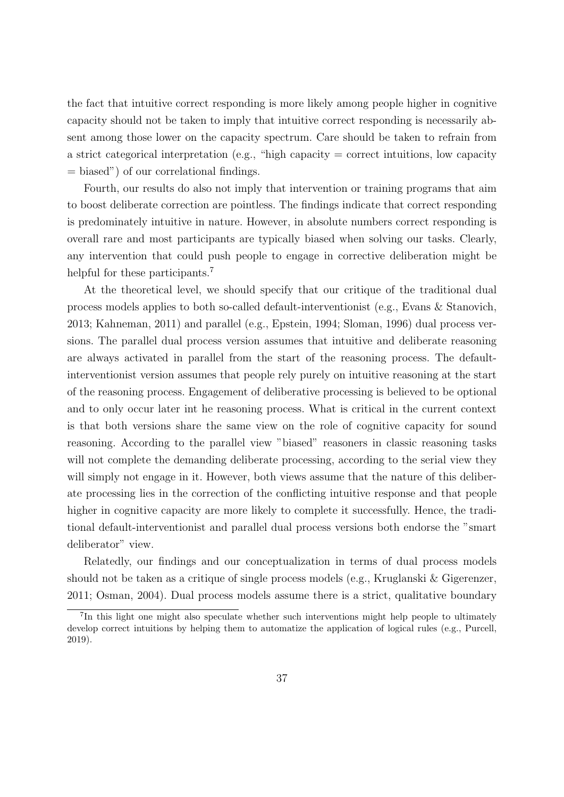the fact that intuitive correct responding is more likely among people higher in cognitive capacity should not be taken to imply that intuitive correct responding is necessarily absent among those lower on the capacity spectrum. Care should be taken to refrain from a strict categorical interpretation (e.g., "high capacity = correct intuitions, low capacity = biased") of our correlational findings.

Fourth, our results do also not imply that intervention or training programs that aim to boost deliberate correction are pointless. The findings indicate that correct responding is predominately intuitive in nature. However, in absolute numbers correct responding is overall rare and most participants are typically biased when solving our tasks. Clearly, any intervention that could push people to engage in corrective deliberation might be helpful for these participants.<sup>7</sup>

At the theoretical level, we should specify that our critique of the traditional dual process models applies to both so-called default-interventionist (e.g., Evans & Stanovich, 2013; Kahneman, 2011) and parallel (e.g., Epstein, 1994; Sloman, 1996) dual process versions. The parallel dual process version assumes that intuitive and deliberate reasoning are always activated in parallel from the start of the reasoning process. The defaultinterventionist version assumes that people rely purely on intuitive reasoning at the start of the reasoning process. Engagement of deliberative processing is believed to be optional and to only occur later int he reasoning process. What is critical in the current context is that both versions share the same view on the role of cognitive capacity for sound reasoning. According to the parallel view "biased" reasoners in classic reasoning tasks will not complete the demanding deliberate processing, according to the serial view they will simply not engage in it. However, both views assume that the nature of this deliberate processing lies in the correction of the conflicting intuitive response and that people higher in cognitive capacity are more likely to complete it successfully. Hence, the traditional default-interventionist and parallel dual process versions both endorse the "smart deliberator" view.

Relatedly, our findings and our conceptualization in terms of dual process models should not be taken as a critique of single process models (e.g., Kruglanski & Gigerenzer, 2011; Osman, 2004). Dual process models assume there is a strict, qualitative boundary

<sup>&</sup>lt;sup>7</sup>In this light one might also speculate whether such interventions might help people to ultimately develop correct intuitions by helping them to automatize the application of logical rules (e.g., Purcell, 2019).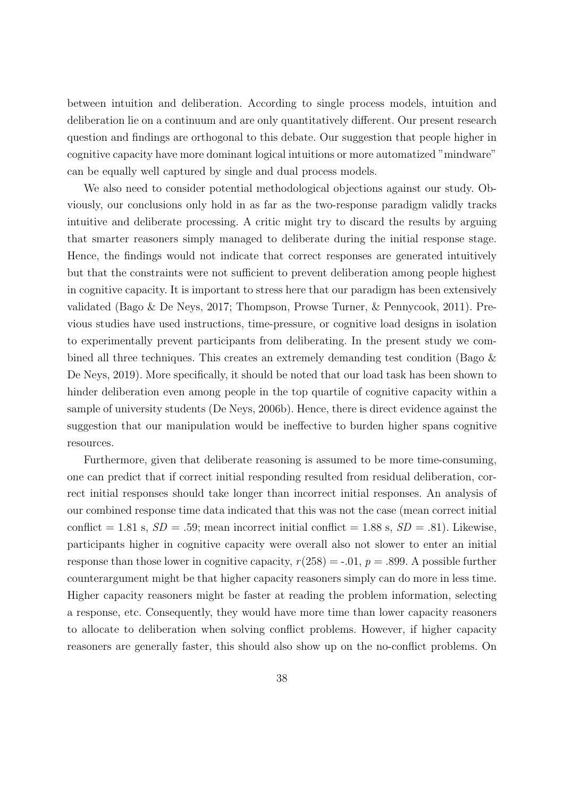between intuition and deliberation. According to single process models, intuition and deliberation lie on a continuum and are only quantitatively different. Our present research question and findings are orthogonal to this debate. Our suggestion that people higher in cognitive capacity have more dominant logical intuitions or more automatized "mindware" can be equally well captured by single and dual process models.

We also need to consider potential methodological objections against our study. Obviously, our conclusions only hold in as far as the two-response paradigm validly tracks intuitive and deliberate processing. A critic might try to discard the results by arguing that smarter reasoners simply managed to deliberate during the initial response stage. Hence, the findings would not indicate that correct responses are generated intuitively but that the constraints were not sufficient to prevent deliberation among people highest in cognitive capacity. It is important to stress here that our paradigm has been extensively validated (Bago & De Neys, 2017; Thompson, Prowse Turner, & Pennycook, 2011). Previous studies have used instructions, time-pressure, or cognitive load designs in isolation to experimentally prevent participants from deliberating. In the present study we combined all three techniques. This creates an extremely demanding test condition (Bago & De Neys, 2019). More specifically, it should be noted that our load task has been shown to hinder deliberation even among people in the top quartile of cognitive capacity within a sample of university students (De Neys, 2006b). Hence, there is direct evidence against the suggestion that our manipulation would be ineffective to burden higher spans cognitive resources.

Furthermore, given that deliberate reasoning is assumed to be more time-consuming, one can predict that if correct initial responding resulted from residual deliberation, correct initial responses should take longer than incorrect initial responses. An analysis of our combined response time data indicated that this was not the case (mean correct initial conflict = 1.81 s,  $SD = .59$ ; mean incorrect initial conflict = 1.88 s,  $SD = .81$ ). Likewise, participants higher in cognitive capacity were overall also not slower to enter an initial response than those lower in cognitive capacity,  $r(258) = -0.01$ ,  $p = 0.899$ . A possible further counterargument might be that higher capacity reasoners simply can do more in less time. Higher capacity reasoners might be faster at reading the problem information, selecting a response, etc. Consequently, they would have more time than lower capacity reasoners to allocate to deliberation when solving conflict problems. However, if higher capacity reasoners are generally faster, this should also show up on the no-conflict problems. On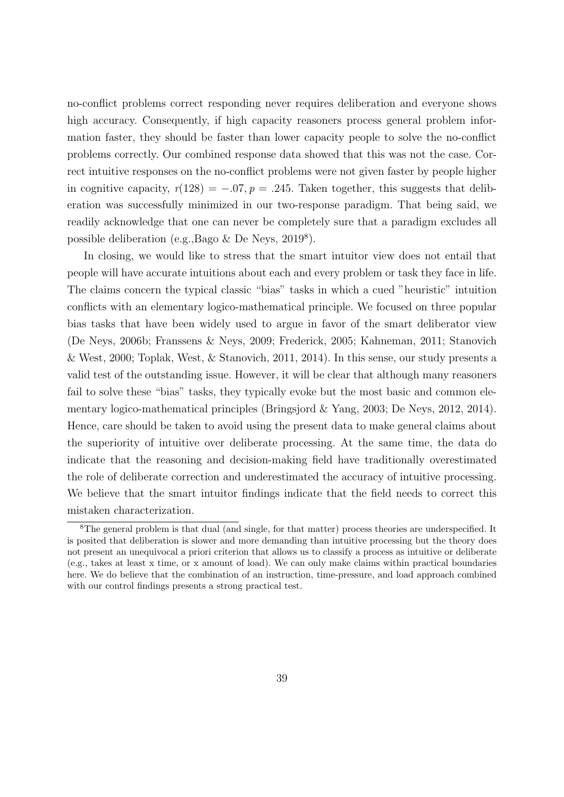no-conflict problems correct responding never requires deliberation and everyone shows high accuracy. Consequently, if high capacity reasoners process general problem information faster, they should be faster than lower capacity people to solve the no-conflict problems correctly. Our combined response data showed that this was not the case. Correct intuitive responses on the no-conflict problems were not given faster by people higher in cognitive capacity,  $r(128) = -.07$ ,  $p = .245$ . Taken together, this suggests that deliberation was successfully minimized in our two-response paradigm. That being said, we readily acknowledge that one can never be completely sure that a paradigm excludes all possible deliberation (e.g., Bago & De Neys, 2019<sup>8</sup>).

In closing, we would like to stress that the smart intuitor view does not entail that people will have accurate intuitions about each and every problem or task they face in life. The claims concern the typical classic "bias" tasks in which a cued "heuristic" intuition conflicts with an elementary logico-mathematical principle. We focused on three popular bias tasks that have been widely used to argue in favor of the smart deliberator view (De Neys, 2006b; Franssens & Neys, 2009; Frederick, 2005; Kahneman, 2011; Stanovich & West, 2000; Toplak, West, & Stanovich, 2011, 2014). In this sense, our study presents a valid test of the outstanding issue. However, it will be clear that although many reasoners fail to solve these "bias" tasks, they typically evoke but the most basic and common elementary logico-mathematical principles (Bringsjord & Yang, 2003; De Neys, 2012, 2014). Hence, care should be taken to avoid using the present data to make general claims about the superiority of intuitive over deliberate processing. At the same time, the data do indicate that the reasoning and decision-making field have traditionally overestimated the role of deliberate correction and underestimated the accuracy of intuitive processing. We believe that the smart intuitor findings indicate that the field needs to correct this mistaken characterization.

<sup>8</sup>The general problem is that dual (and single, for that matter) process theories are underspecified. It is posited that deliberation is slower and more demanding than intuitive processing but the theory does not present an unequivocal a priori criterion that allows us to classify a process as intuitive or deliberate (e.g., takes at least x time, or x amount of load). We can only make claims within practical boundaries here. We do believe that the combination of an instruction, time-pressure, and load approach combined with our control findings presents a strong practical test.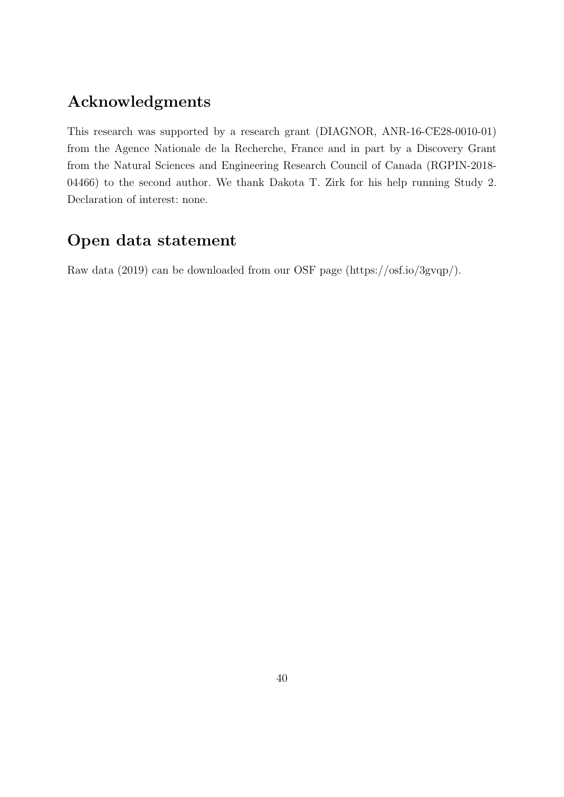# Acknowledgments

This research was supported by a research grant (DIAGNOR, ANR-16-CE28-0010-01) from the Agence Nationale de la Recherche, France and in part by a Discovery Grant from the Natural Sciences and Engineering Research Council of Canada (RGPIN-2018- 04466) to the second author. We thank Dakota T. Zirk for his help running Study 2. Declaration of interest: none.

# Open data statement

Raw data (2019) can be downloaded from our OSF page (https://osf.io/3gvqp/).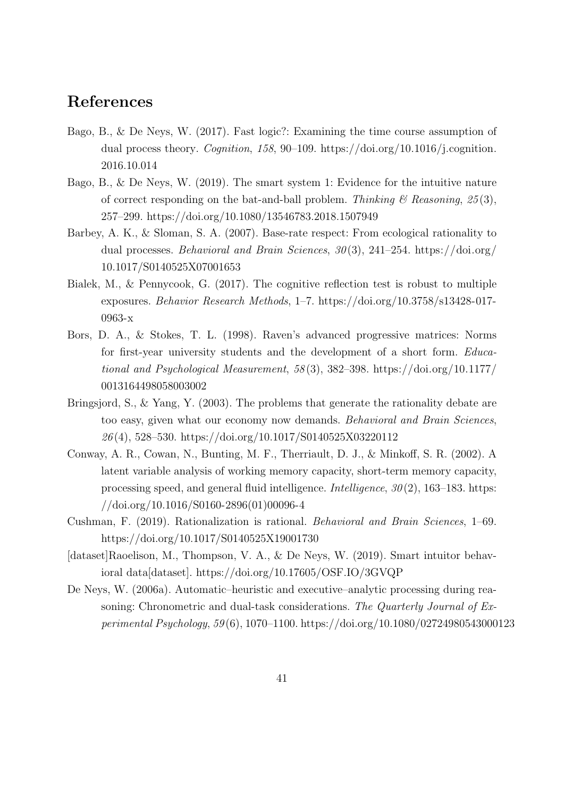# References

- Bago, B., & De Neys, W. (2017). Fast logic?: Examining the time course assumption of dual process theory. *Cognition*, 158, 90–109. https://doi.org/10.1016/j.cognition. 2016.10.014
- Bago, B., & De Neys, W. (2019). The smart system 1: Evidence for the intuitive nature of correct responding on the bat-and-ball problem. Thinking  $\mathcal C$  Reasoning, 25(3), 257–299. https://doi.org/10.1080/13546783.2018.1507949
- Barbey, A. K., & Sloman, S. A. (2007). Base-rate respect: From ecological rationality to dual processes. Behavioral and Brain Sciences,  $30(3)$ , 241–254. https://doi.org/ 10.1017/S0140525X07001653
- Bialek, M., & Pennycook, G. (2017). The cognitive reflection test is robust to multiple exposures. Behavior Research Methods, 1–7. https://doi.org/10.3758/s13428-017- 0963-x
- Bors, D. A., & Stokes, T. L. (1998). Raven's advanced progressive matrices: Norms for first-year university students and the development of a short form. Educational and Psychological Measurement, 58 (3), 382–398. https://doi.org/10.1177/ 0013164498058003002
- Bringsjord, S., & Yang, Y. (2003). The problems that generate the rationality debate are too easy, given what our economy now demands. Behavioral and Brain Sciences, 26 (4), 528–530. https://doi.org/10.1017/S0140525X03220112
- Conway, A. R., Cowan, N., Bunting, M. F., Therriault, D. J., & Minkoff, S. R. (2002). A latent variable analysis of working memory capacity, short-term memory capacity, processing speed, and general fluid intelligence. *Intelligence*,  $30(2)$ , 163–183. https: //doi.org/10.1016/S0160-2896(01)00096-4
- Cushman, F. (2019). Rationalization is rational. Behavioral and Brain Sciences, 1–69. https://doi.org/10.1017/S0140525X19001730
- [dataset]Raoelison, M., Thompson, V. A., & De Neys, W. (2019). Smart intuitor behavioral data[dataset]. https://doi.org/10.17605/OSF.IO/3GVQP
- De Neys, W. (2006a). Automatic–heuristic and executive–analytic processing during reasoning: Chronometric and dual-task considerations. The Quarterly Journal of Experimental Psychology, 59 (6), 1070–1100. https://doi.org/10.1080/02724980543000123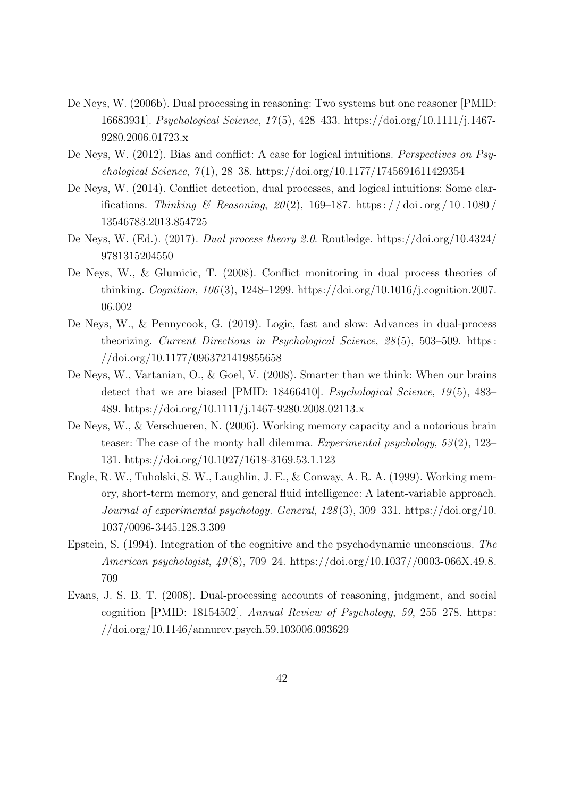- De Neys, W. (2006b). Dual processing in reasoning: Two systems but one reasoner [PMID: 16683931]. Psychological Science, 17 (5), 428–433. https://doi.org/10.1111/j.1467- 9280.2006.01723.x
- De Neys, W. (2012). Bias and conflict: A case for logical intuitions. Perspectives on Psychological Science,  $7(1)$ , 28–38. https://doi.org/10.1177/1745691611429354
- De Neys, W. (2014). Conflict detection, dual processes, and logical intuitions: Some clarifications. Thinking & Reasoning,  $20(2)$ , 169–187. https://doi.org/10.1080/ 13546783.2013.854725
- De Neys, W. (Ed.). (2017). Dual process theory 2.0. Routledge. https://doi.org/10.4324/ 9781315204550
- De Neys, W., & Glumicic, T. (2008). Conflict monitoring in dual process theories of thinking. Cognition, 106 (3), 1248–1299. https://doi.org/10.1016/j.cognition.2007. 06.002
- De Neys, W., & Pennycook, G. (2019). Logic, fast and slow: Advances in dual-process theorizing. Current Directions in Psychological Science, 28 (5), 503–509. https : //doi.org/10.1177/0963721419855658
- De Neys, W., Vartanian, O., & Goel, V. (2008). Smarter than we think: When our brains detect that we are biased [PMID: 18466410]. Psychological Science, 19(5), 483– 489. https://doi.org/10.1111/j.1467-9280.2008.02113.x
- De Neys, W., & Verschueren, N. (2006). Working memory capacity and a notorious brain teaser: The case of the monty hall dilemma. Experimental psychology, 53(2), 123– 131. https://doi.org/10.1027/1618-3169.53.1.123
- Engle, R. W., Tuholski, S. W., Laughlin, J. E., & Conway, A. R. A. (1999). Working memory, short-term memory, and general fluid intelligence: A latent-variable approach. Journal of experimental psychology. General, 128 (3), 309–331. https://doi.org/10. 1037/0096-3445.128.3.309
- Epstein, S. (1994). Integration of the cognitive and the psychodynamic unconscious. The American psychologist, 49 (8), 709–24. https://doi.org/10.1037//0003-066X.49.8. 709
- Evans, J. S. B. T. (2008). Dual-processing accounts of reasoning, judgment, and social cognition [PMID: 18154502]. Annual Review of Psychology, 59, 255–278. https: //doi.org/10.1146/annurev.psych.59.103006.093629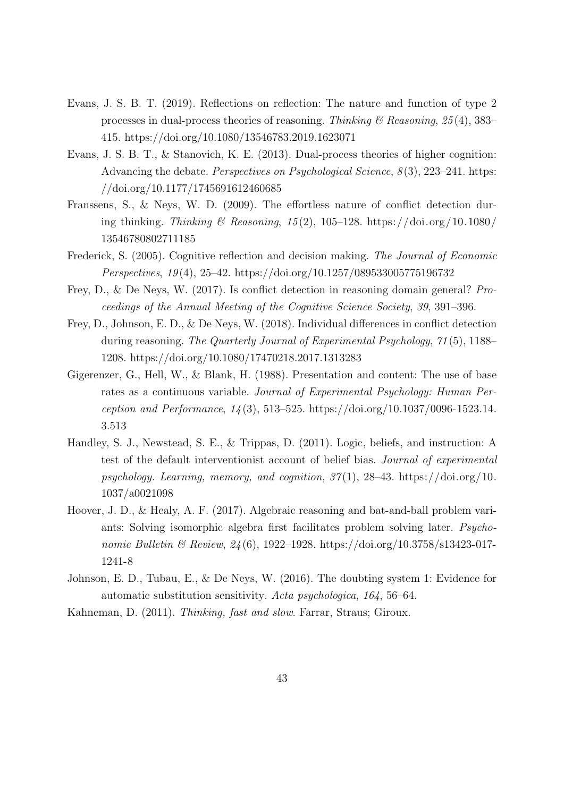- Evans, J. S. B. T. (2019). Reflections on reflection: The nature and function of type 2 processes in dual-process theories of reasoning. Thinking  $\mathcal C$  Reasoning, 25(4), 383– 415. https://doi.org/10.1080/13546783.2019.1623071
- Evans, J. S. B. T., & Stanovich, K. E. (2013). Dual-process theories of higher cognition: Advancing the debate. *Perspectives on Psychological Science*,  $8(3)$ , 223–241. https: //doi.org/10.1177/1745691612460685
- Franssens, S., & Neys, W. D. (2009). The effortless nature of conflict detection during thinking. Thinking & Reasoning, 15(2), 105–128. https://doi.org/10.1080/ 13546780802711185
- Frederick, S. (2005). Cognitive reflection and decision making. The Journal of Economic Perspectives, 19 (4), 25–42. https://doi.org/10.1257/089533005775196732
- Frey, D., & De Neys, W. (2017). Is conflict detection in reasoning domain general? Proceedings of the Annual Meeting of the Cognitive Science Society, 39, 391–396.
- Frey, D., Johnson, E. D., & De Neys, W. (2018). Individual differences in conflict detection during reasoning. The Quarterly Journal of Experimental Psychology, 71 (5), 1188– 1208. https://doi.org/10.1080/17470218.2017.1313283
- Gigerenzer, G., Hell, W., & Blank, H. (1988). Presentation and content: The use of base rates as a continuous variable. Journal of Experimental Psychology: Human Perception and Performance, 14 (3), 513–525. https://doi.org/10.1037/0096-1523.14. 3.513
- Handley, S. J., Newstead, S. E., & Trippas, D. (2011). Logic, beliefs, and instruction: A test of the default interventionist account of belief bias. Journal of experimental psychology. Learning, memory, and cognition,  $37(1)$ ,  $28-43$ . https://doi.org/10. 1037/a0021098
- Hoover, J. D., & Healy, A. F. (2017). Algebraic reasoning and bat-and-ball problem variants: Solving isomorphic algebra first facilitates problem solving later. Psychonomic Bulletin & Review, 24(6), 1922-1928. https://doi.org/10.3758/s13423-017-1241-8
- Johnson, E. D., Tubau, E., & De Neys, W. (2016). The doubting system 1: Evidence for automatic substitution sensitivity. Acta psychologica, 164, 56–64.
- Kahneman, D. (2011). Thinking, fast and slow. Farrar, Straus; Giroux.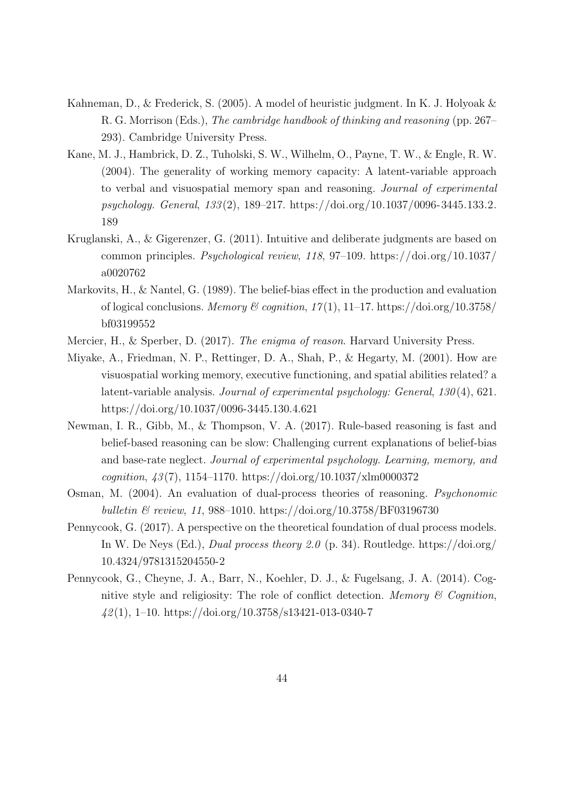- Kahneman, D., & Frederick, S. (2005). A model of heuristic judgment. In K. J. Holyoak & R. G. Morrison (Eds.), The cambridge handbook of thinking and reasoning (pp. 267– 293). Cambridge University Press.
- Kane, M. J., Hambrick, D. Z., Tuholski, S. W., Wilhelm, O., Payne, T. W., & Engle, R. W. (2004). The generality of working memory capacity: A latent-variable approach to verbal and visuospatial memory span and reasoning. Journal of experimental psychology. General, 133 (2), 189–217. https://doi.org/10.1037/0096-3445.133.2. 189
- Kruglanski, A., & Gigerenzer, G. (2011). Intuitive and deliberate judgments are based on common principles. Psychological review, 118, 97–109. https://doi.org/10.1037/ a0020762
- Markovits, H., & Nantel, G. (1989). The belief-bias effect in the production and evaluation of logical conclusions. Memory & cognition,  $17(1)$ ,  $11-17$ . https://doi.org/10.3758/ bf03199552
- Mercier, H., & Sperber, D. (2017). The enigma of reason. Harvard University Press.
- Miyake, A., Friedman, N. P., Rettinger, D. A., Shah, P., & Hegarty, M. (2001). How are visuospatial working memory, executive functioning, and spatial abilities related? a latent-variable analysis. Journal of experimental psychology: General, 130(4), 621. https://doi.org/10.1037/0096-3445.130.4.621
- Newman, I. R., Gibb, M., & Thompson, V. A. (2017). Rule-based reasoning is fast and belief-based reasoning can be slow: Challenging current explanations of belief-bias and base-rate neglect. Journal of experimental psychology. Learning, memory, and cognition, 43 (7), 1154–1170. https://doi.org/10.1037/xlm0000372
- Osman, M. (2004). An evaluation of dual-process theories of reasoning. Psychonomic bulletin & review, 11, 988-1010. https://doi.org/10.3758/BF03196730
- Pennycook, G. (2017). A perspective on the theoretical foundation of dual process models. In W. De Neys (Ed.), *Dual process theory 2.0* (p. 34). Routledge. https://doi.org/ 10.4324/9781315204550-2
- Pennycook, G., Cheyne, J. A., Barr, N., Koehler, D. J., & Fugelsang, J. A. (2014). Cognitive style and religiosity: The role of conflict detection. Memory  $\mathcal C$  Cognition,  $42(1)$ , 1–10. https://doi.org/10.3758/s13421-013-0340-7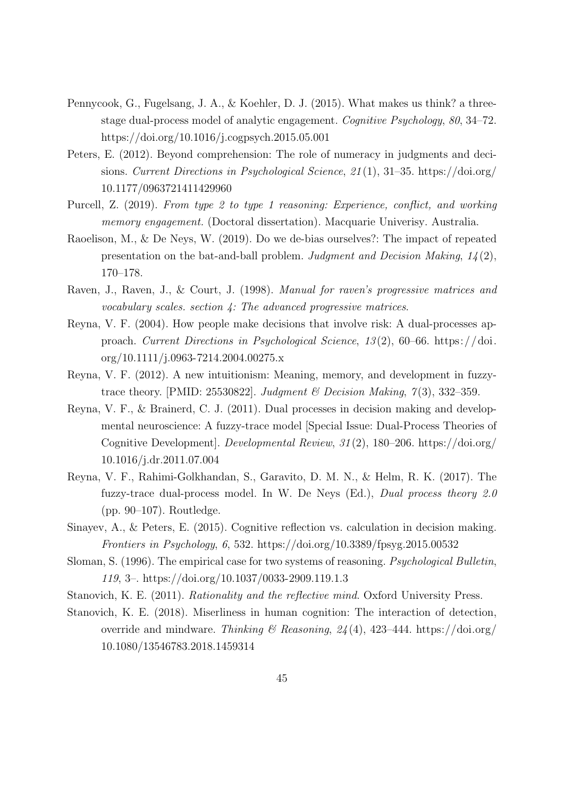- Pennycook, G., Fugelsang, J. A., & Koehler, D. J. (2015). What makes us think? a threestage dual-process model of analytic engagement. Cognitive Psychology, 80, 34–72. https://doi.org/10.1016/j.cogpsych.2015.05.001
- Peters, E. (2012). Beyond comprehension: The role of numeracy in judgments and decisions. Current Directions in Psychological Science, 21 (1), 31–35. https://doi.org/ 10.1177/0963721411429960
- Purcell, Z. (2019). From type 2 to type 1 reasoning: Experience, conflict, and working memory engagement. (Doctoral dissertation). Macquarie Univerisy. Australia.
- Raoelison, M., & De Neys, W. (2019). Do we de-bias ourselves?: The impact of repeated presentation on the bat-and-ball problem. Judgment and Decision Making, 14 (2), 170–178.
- Raven, J., Raven, J., & Court, J. (1998). Manual for raven's progressive matrices and vocabulary scales. section 4: The advanced progressive matrices.
- Reyna, V. F. (2004). How people make decisions that involve risk: A dual-processes approach. Current Directions in Psychological Science, 13 (2), 60–66. https://doi. org/10.1111/j.0963-7214.2004.00275.x
- Reyna, V. F. (2012). A new intuitionism: Meaning, memory, and development in fuzzytrace theory. [PMID: 25530822]. Judgment & Decision Making,  $7(3)$ , 332-359.
- Reyna, V. F., & Brainerd, C. J. (2011). Dual processes in decision making and developmental neuroscience: A fuzzy-trace model [Special Issue: Dual-Process Theories of Cognitive Development]. Developmental Review, 31 (2), 180–206. https://doi.org/ 10.1016/j.dr.2011.07.004
- Reyna, V. F., Rahimi-Golkhandan, S., Garavito, D. M. N., & Helm, R. K. (2017). The fuzzy-trace dual-process model. In W. De Neys (Ed.), Dual process theory 2.0 (pp. 90–107). Routledge.
- Sinayev, A., & Peters, E. (2015). Cognitive reflection vs. calculation in decision making. Frontiers in Psychology, 6, 532. https://doi.org/10.3389/fpsyg.2015.00532
- Sloman, S. (1996). The empirical case for two systems of reasoning. Psychological Bulletin, 119, 3–. https://doi.org/10.1037/0033-2909.119.1.3
- Stanovich, K. E. (2011). Rationality and the reflective mind. Oxford University Press.
- Stanovich, K. E. (2018). Miserliness in human cognition: The interaction of detection, override and mindware. Thinking & Reasoning,  $24(4)$ , 423–444. https://doi.org/ 10.1080/13546783.2018.1459314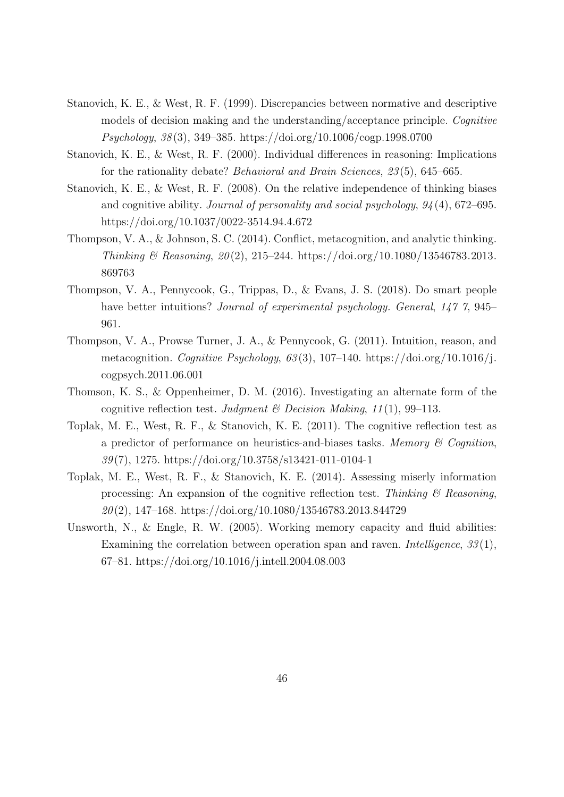- Stanovich, K. E., & West, R. F. (1999). Discrepancies between normative and descriptive models of decision making and the understanding/acceptance principle. Cognitive Psychology, 38 (3), 349–385. https://doi.org/10.1006/cogp.1998.0700
- Stanovich, K. E., & West, R. F. (2000). Individual differences in reasoning: Implications for the rationality debate? Behavioral and Brain Sciences, 23 (5), 645–665.
- Stanovich, K. E., & West, R. F. (2008). On the relative independence of thinking biases and cognitive ability. Journal of personality and social psychology, 94 (4), 672–695. https://doi.org/10.1037/0022-3514.94.4.672
- Thompson, V. A., & Johnson, S. C. (2014). Conflict, metacognition, and analytic thinking. Thinking & Reasoning,  $20(2)$ , 215–244. https://doi.org/10.1080/13546783.2013. 869763
- Thompson, V. A., Pennycook, G., Trippas, D., & Evans, J. S. (2018). Do smart people have better intuitions? *Journal of experimental psychology. General, 147 7, 945*– 961.
- Thompson, V. A., Prowse Turner, J. A., & Pennycook, G. (2011). Intuition, reason, and metacognition. Cognitive Psychology,  $63(3)$ ,  $107-140$ . https://doi.org/10.1016/j. cogpsych.2011.06.001
- Thomson, K. S., & Oppenheimer, D. M. (2016). Investigating an alternate form of the cognitive reflection test. Judgment & Decision Making,  $11(1)$ , 99–113.
- Toplak, M. E., West, R. F., & Stanovich, K. E. (2011). The cognitive reflection test as a predictor of performance on heuristics-and-biases tasks. Memory  $\mathcal C$  Cognition, 39 (7), 1275. https://doi.org/10.3758/s13421-011-0104-1
- Toplak, M. E., West, R. F., & Stanovich, K. E. (2014). Assessing miserly information processing: An expansion of the cognitive reflection test. Thinking  $\mathcal B$  Reasoning,  $20(2)$ , 147–168. https://doi.org/10.1080/13546783.2013.844729
- Unsworth, N., & Engle, R. W. (2005). Working memory capacity and fluid abilities: Examining the correlation between operation span and raven. *Intelligence*, 33(1), 67–81. https://doi.org/10.1016/j.intell.2004.08.003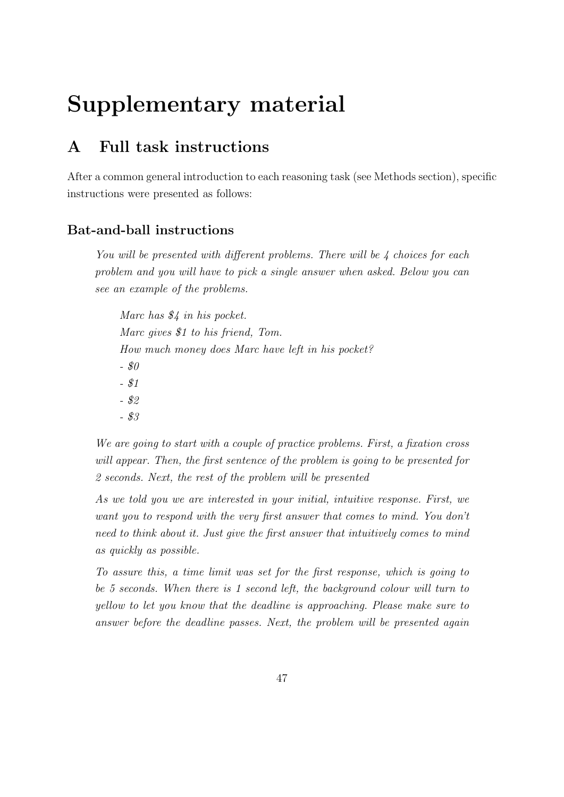# Supplementary material

# A Full task instructions

After a common general introduction to each reasoning task (see Methods section), specific instructions were presented as follows:

# Bat-and-ball instructions

You will be presented with different problems. There will be 4 choices for each problem and you will have to pick a single answer when asked. Below you can see an example of the problems.

Marc has \$4 in his pocket. Marc gives \$1 to his friend, Tom. How much money does Marc have left in his pocket? - \$0 - \$1 - \$2 - \$3

We are going to start with a couple of practice problems. First, a fixation cross will appear. Then, the first sentence of the problem is going to be presented for 2 seconds. Next, the rest of the problem will be presented

As we told you we are interested in your initial, intuitive response. First, we want you to respond with the very first answer that comes to mind. You don't need to think about it. Just give the first answer that intuitively comes to mind as quickly as possible.

To assure this, a time limit was set for the first response, which is going to be 5 seconds. When there is 1 second left, the background colour will turn to yellow to let you know that the deadline is approaching. Please make sure to answer before the deadline passes. Next, the problem will be presented again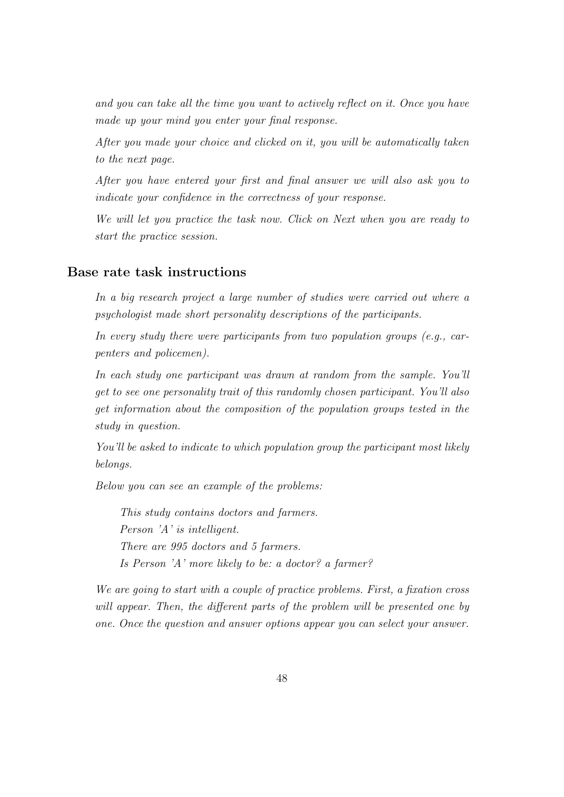and you can take all the time you want to actively reflect on it. Once you have made up your mind you enter your final response.

After you made your choice and clicked on it, you will be automatically taken to the next page.

After you have entered your first and final answer we will also ask you to indicate your confidence in the correctness of your response.

We will let you practice the task now. Click on Next when you are ready to start the practice session.

## Base rate task instructions

In a big research project a large number of studies were carried out where a psychologist made short personality descriptions of the participants.

In every study there were participants from two population groups (e.g., carpenters and policemen).

In each study one participant was drawn at random from the sample. You'll get to see one personality trait of this randomly chosen participant. You'll also get information about the composition of the population groups tested in the study in question.

You'll be asked to indicate to which population group the participant most likely belongs.

Below you can see an example of the problems:

This study contains doctors and farmers. Person 'A' is intelligent. There are 995 doctors and 5 farmers. Is Person 'A' more likely to be: a doctor? a farmer?

We are going to start with a couple of practice problems. First, a fixation cross will appear. Then, the different parts of the problem will be presented one by one. Once the question and answer options appear you can select your answer.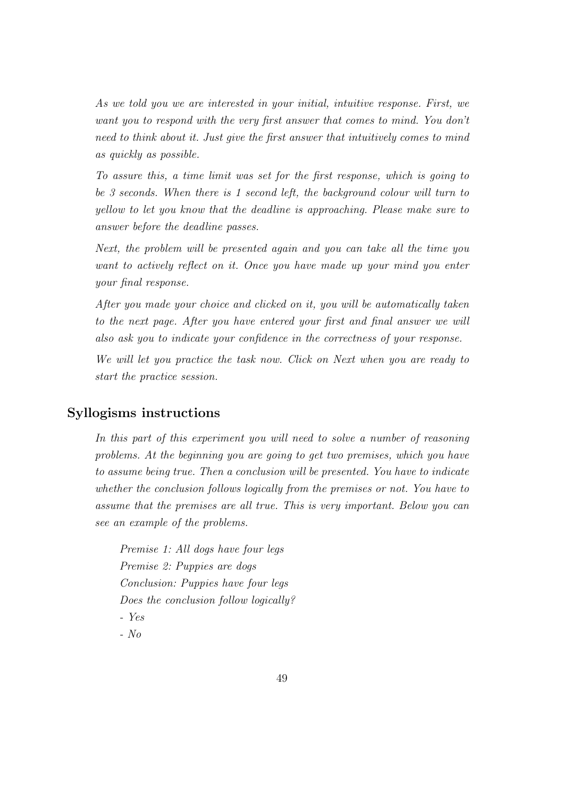As we told you we are interested in your initial, intuitive response. First, we want you to respond with the very first answer that comes to mind. You don't need to think about it. Just give the first answer that intuitively comes to mind as quickly as possible.

To assure this, a time limit was set for the first response, which is going to be 3 seconds. When there is 1 second left, the background colour will turn to yellow to let you know that the deadline is approaching. Please make sure to answer before the deadline passes.

Next, the problem will be presented again and you can take all the time you want to actively reflect on it. Once you have made up your mind you enter your final response.

After you made your choice and clicked on it, you will be automatically taken to the next page. After you have entered your first and final answer we will also ask you to indicate your confidence in the correctness of your response.

We will let you practice the task now. Click on Next when you are ready to start the practice session.

# Syllogisms instructions

In this part of this experiment you will need to solve a number of reasoning problems. At the beginning you are going to get two premises, which you have to assume being true. Then a conclusion will be presented. You have to indicate whether the conclusion follows logically from the premises or not. You have to assume that the premises are all true. This is very important. Below you can see an example of the problems.

Premise 1: All dogs have four legs Premise 2: Puppies are dogs Conclusion: Puppies have four legs Does the conclusion follow logically? - Yes

- No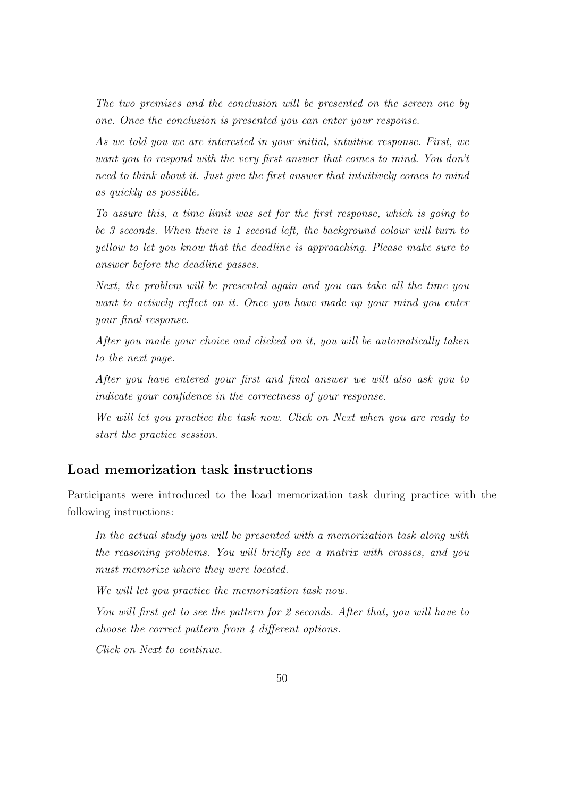The two premises and the conclusion will be presented on the screen one by one. Once the conclusion is presented you can enter your response.

As we told you we are interested in your initial, intuitive response. First, we want you to respond with the very first answer that comes to mind. You don't need to think about it. Just give the first answer that intuitively comes to mind as quickly as possible.

To assure this, a time limit was set for the first response, which is going to be 3 seconds. When there is 1 second left, the background colour will turn to yellow to let you know that the deadline is approaching. Please make sure to answer before the deadline passes.

Next, the problem will be presented again and you can take all the time you want to actively reflect on it. Once you have made up your mind you enter your final response.

After you made your choice and clicked on it, you will be automatically taken to the next page.

After you have entered your first and final answer we will also ask you to indicate your confidence in the correctness of your response.

We will let you practice the task now. Click on Next when you are ready to start the practice session.

# Load memorization task instructions

Participants were introduced to the load memorization task during practice with the following instructions:

In the actual study you will be presented with a memorization task along with the reasoning problems. You will briefly see a matrix with crosses, and you must memorize where they were located.

We will let you practice the memorization task now.

You will first get to see the pattern for 2 seconds. After that, you will have to choose the correct pattern from 4 different options.

Click on Next to continue.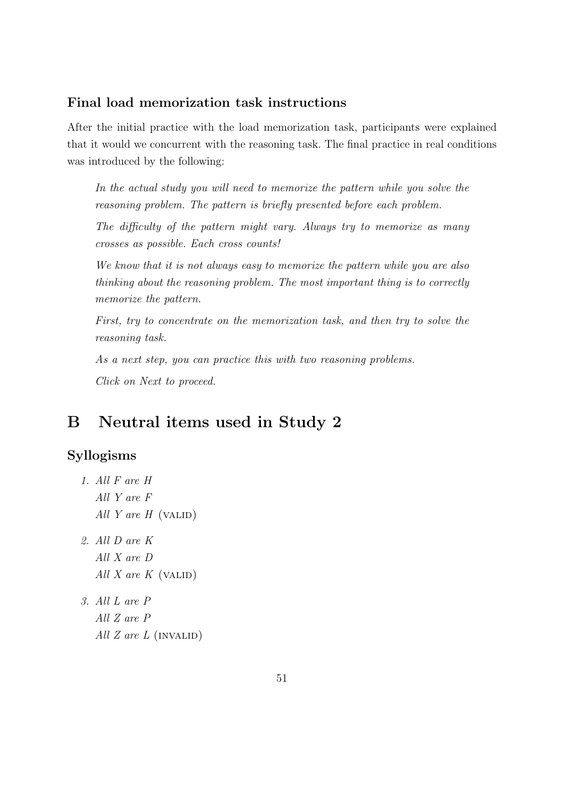## Final load memorization task instructions

After the initial practice with the load memorization task, participants were explained that it would we concurrent with the reasoning task. The final practice in real conditions was introduced by the following:

In the actual study you will need to memorize the pattern while you solve the reasoning problem. The pattern is briefly presented before each problem.

The difficulty of the pattern might vary. Always try to memorize as many crosses as possible. Each cross counts!

We know that it is not always easy to memorize the pattern while you are also thinking about the reasoning problem. The most important thing is to correctly memorize the pattern.

First, try to concentrate on the memorization task, and then try to solve the reasoning task.

As a next step, you can practice this with two reasoning problems. Click on Next to proceed.

# B Neutral items used in Study 2

# Syllogisms

```
1. All F are H
  All Y are F
  All Y are H (VALID)
2. All D are K
  All X are D
  All X are K (VALID)
3. All L are P
  All Z are P
  All Z are L (INVALID)
```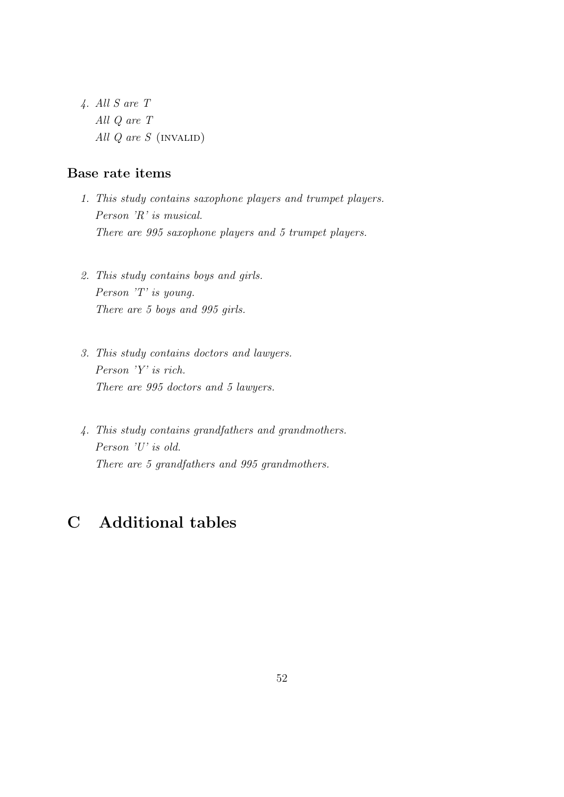4. All S are T All Q are T All  $Q$  are  $S$  (INVALID)

# Base rate items

- 1. This study contains saxophone players and trumpet players. Person 'R' is musical. There are 995 saxophone players and 5 trumpet players.
- 2. This study contains boys and girls. Person 'T' is young. There are 5 boys and 995 girls.
- 3. This study contains doctors and lawyers. Person 'Y' is rich. There are 995 doctors and 5 lawyers.
- 4. This study contains grandfathers and grandmothers. Person 'U' is old. There are 5 grandfathers and 995 grandmothers.

# C Additional tables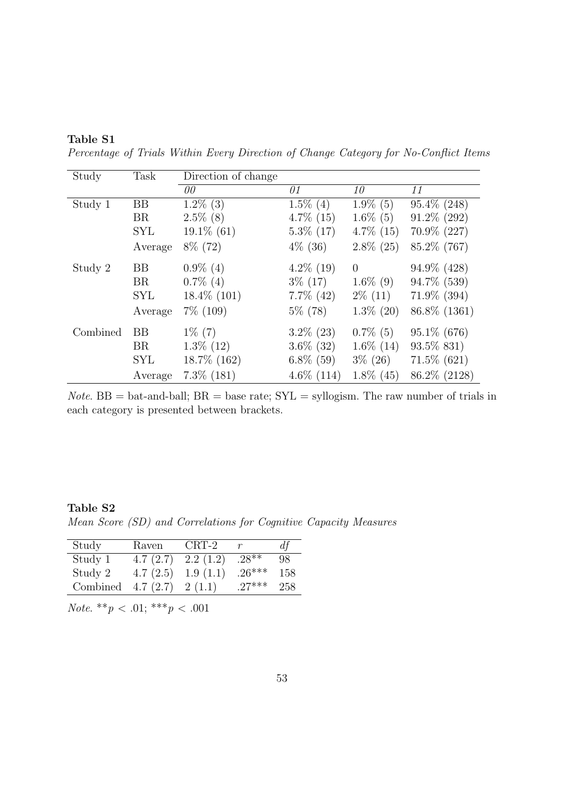Percentage of Trials Within Every Direction of Change Category for No-Conflict Items

| Study    | Task       | Direction of change |                        |                |                |
|----------|------------|---------------------|------------------------|----------------|----------------|
|          |            | $\theta\theta$      | 01                     | 10             | 11             |
| Study 1  | <b>BB</b>  | $1.2\%$ (3)         | $\overline{1.5\%}$ (4) | $1.9\%$ (5)    | $95.4\%$ (248) |
|          | <b>BR</b>  | $2.5\%$ (8)         | $4.7\%$ (15)           | $1.6\%$ (5)    | $91.2\%$ (292) |
|          | <b>SYL</b> | $19.1\%$ (61)       | $5.3\%$ (17)           | $4.7\%$ (15)   | $70.9\%$ (227) |
|          | Average    | $8\%$ (72)          | $4\%$ (36)             | $2.8\%$ (25)   | 85.2\% (767)   |
| Study 2  | <b>BB</b>  | $0.9\%$ (4)         | $4.2\%$ (19)           | $\overline{0}$ | $94.9\%$ (428) |
|          | BR         | $0.7\%$ (4)         | $3\%$ (17)             | $1.6\%$ (9)    | 94.7% (539)    |
|          | <b>SYL</b> | $18.4\%$ (101)      | $7.7\%$ (42)           | $2\%$ (11)     | $71.9\%$ (394) |
|          | Average    | $7\%$ (109)         | $5\%$ (78)             | $1.3\%$ (20)   | 86.8\% (1361)  |
| Combined | <b>BB</b>  | $1\%$ (7)           | $3.2\%$ (23)           | $0.7\%$ (5)    | $95.1\% (676)$ |
|          | <b>BR</b>  | $1.3\%$ (12)        | $3.6\%$ (32)           | $1.6\%$ (14)   | 93.5\% 831)    |
|          | <b>SYL</b> | 18.7% (162)         | $6.8\%$ (59)           | $3\% (26)$     | $71.5\%$ (621) |
|          | Average    | $7.3\%$ $(181)$     | $4.6\%$ (114)          | $1.8\%$ (45)   | 86.2\% (2128)  |

*Note.* BB = bat-and-ball;  $BR =$  base rate;  $SYL =$  syllogism. The raw number of trials in each category is presented between brackets.

### Table S2

Mean Score (SD) and Correlations for Cognitive Capacity Measures

| Study    | Raven    | CRT-2    |          | $d\mathfrak{f}$ |
|----------|----------|----------|----------|-----------------|
| Study 1  | 4.7(2.7) | 2.2(1.2) | $.28**$  | 98              |
| Study 2  | 4.7(2.5) | 1.9(1.1) | $26***$  | 158             |
| Combined | 4.7(2.7) | 2(1.1)   | $.27***$ | 258             |

Note. \*\*p < .01; \*\*\*p < .001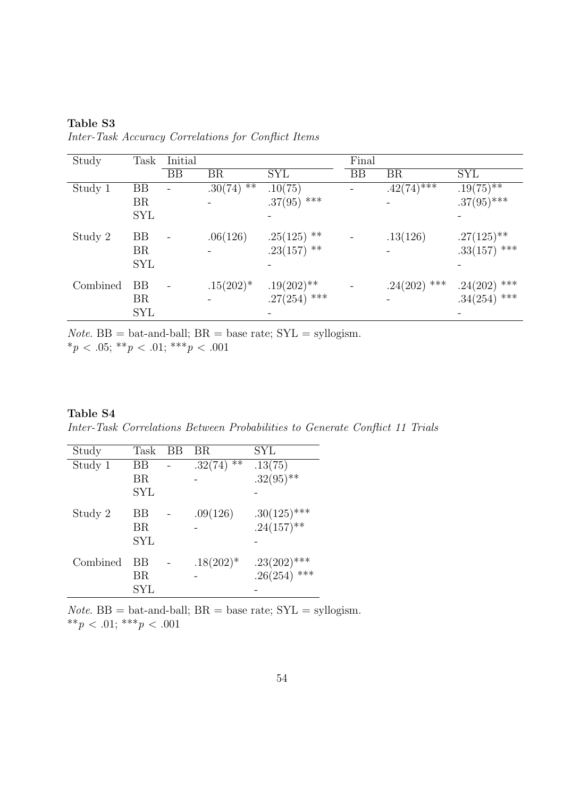| Table S3                                            |  |  |
|-----------------------------------------------------|--|--|
| Inter-Task Accuracy Correlations for Conflict Items |  |  |

| Study    | Task       | Initial |              |                | Final     |                            |                |
|----------|------------|---------|--------------|----------------|-----------|----------------------------|----------------|
|          |            | BB      | <b>BR</b>    | <b>SYL</b>     | <b>BB</b> | <b>BR</b>                  | <b>SYL</b>     |
| Study 1  | BB         |         | $.30(74)$ ** | .10(75)        |           | $.42(74)^{\overline{***}}$ | $.19(75)$ **   |
|          | <b>BR</b>  |         |              | $.37(95)$ ***  |           |                            | $.37(95)$ ***  |
|          | <b>SYL</b> |         |              |                |           |                            |                |
| Study 2  | BB         |         | .06(126)     | $.25(125)$ **  |           | .13(126)                   | $.27(125)$ **  |
|          | <b>BR</b>  |         |              | $.23(157)$ **  |           |                            | $.33(157)$ *** |
|          | <b>SYL</b> |         |              |                |           |                            |                |
| Combined | <b>BB</b>  |         | $.15(202)*$  | $.19(202)$ **  |           | $.24(202)$ ***             | $.24(202)$ *** |
|          | BR         |         |              | $.27(254)$ *** |           |                            | $.34(254)$ *** |
|          | <b>SYL</b> |         |              |                |           |                            |                |

 $Note. BB = bat- and-ball; BR = base rate; SYL = syllogism.$ \*p < .05; \*\*p < .01; \*\*\*p < .001

## Table S4

Inter-Task Correlations Between Probabilities to Generate Conflict 11 Trials

| Study    | Task       | ВB | BR.              | SYL            |
|----------|------------|----|------------------|----------------|
| Study 1  | ΒB         |    | $***$<br>.32(74) | .13(75)        |
|          | ΒR         |    |                  | $.32(95)$ **   |
|          | <b>SYL</b> |    |                  |                |
| Study 2  | ВB         |    | .09(126)         | $.30(125)$ *** |
|          | ΒR         |    |                  | $.24(157)$ **  |
|          | <b>SYL</b> |    |                  |                |
| Combined | ΒB         |    | $.18(202)*$      | $.23(202)$ *** |
|          | ΒR         |    |                  | .26(254) ***   |
|          | SYL        |    |                  |                |

*Note.* BB = bat-and-ball;  $BR =$  base rate;  $SYL =$  syllogism. \*\* $p < .01$ ; \*\*\* $p < .001$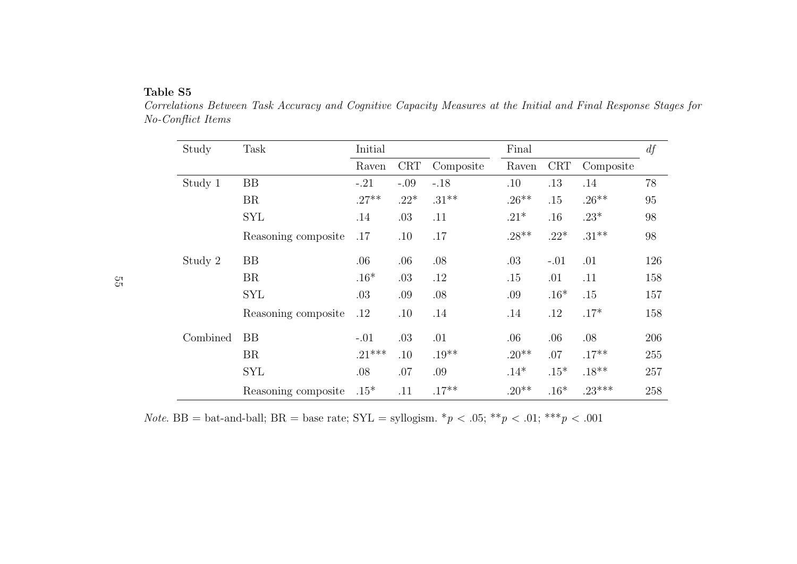| Study    | Task                | Initial  |            |           | Final    |            |           | df  |
|----------|---------------------|----------|------------|-----------|----------|------------|-----------|-----|
|          |                     | Raven    | <b>CRT</b> | Composite | Raven    | <b>CRT</b> | Composite |     |
| Study 1  | <b>BB</b>           | $-.21$   | $-.09$     | $-.18$    | .10      | .13        | .14       | 78  |
|          | <b>BR</b>           | $.27**$  | $.22*$     | $.31***$  | $.26***$ | .15        | $.26**$   | 95  |
|          | <b>SYL</b>          | .14      | .03        | .11       | $.21*$   | .16        | $.23*$    | 98  |
|          | Reasoning composite | .17      | .10        | .17       | $.28**$  | $.22*$     | $.31***$  | 98  |
| Study 2  | <b>BB</b>           | .06      | .06        | .08       | .03      | $-.01$     | .01       | 126 |
|          | <b>BR</b>           | $.16*$   | .03        | .12       | .15      | .01        | .11       | 158 |
|          | <b>SYL</b>          | .03      | .09        | .08       | .09      | $.16*$     | .15       | 157 |
|          | Reasoning composite | .12      | .10        | .14       | .14      | .12        | $.17*$    | 158 |
| Combined | BB                  | $-.01$   | .03        | .01       | .06      | .06        | .08       | 206 |
|          | <b>BR</b>           | $.21***$ | .10        | $.19**$   | $.20**$  | .07        | $.17**$   | 255 |
|          | <b>SYL</b>          | .08      | .07        | .09       | $.14*$   | $.15*$     | $.18**$   | 257 |
|          | Reasoning composite | $.15*$   | .11        | $.17**$   | $.20**$  | $.16*$     | $.23***$  | 258 |

 Correlations Between Task Accuracy and Cognitive Capacity Measures at the Initial and Final Response Stages forNo-Conflict Items

*Note.* BB = bat-and-ball; BR = base rate;  $SYL = \text{syllogism.}$  \* $p < .05$ ; \*\* $p < .01$ ; \*\*\* $p < .001$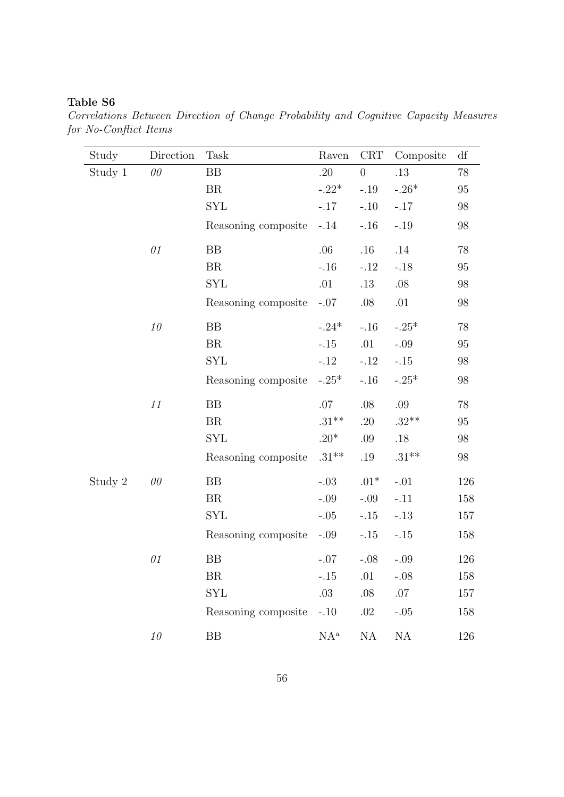Correlations Between Direction of Change Probability and Cognitive Capacity Measures for No-Conflict Items

| Study   | Direction | Task                | Raven    | CRT      | Composite | df       |
|---------|-----------|---------------------|----------|----------|-----------|----------|
| Study 1 | 00        | BB                  | .20      | $\theta$ | $.13\,$   | 78       |
|         |           | BR                  | $-.22*$  | $-.19$   | $-.26*$   | 95       |
|         |           | <b>SYL</b>          | $-.17$   | $-.10$   | $-.17$    | 98       |
|         |           | Reasoning composite | $-.14$   | $-.16$   | $-.19$    | 98       |
|         | $\theta1$ | BB                  | .06      | .16      | .14       | 78       |
|         |           | BR                  | $-.16$   | $-.12$   | $-.18$    | 95       |
|         |           | <b>SYL</b>          | .01      | .13      | .08       | $98\,$   |
|         |           | Reasoning composite | $-.07$   | $.08\,$  | .01       | $98\,$   |
|         | $10\,$    | BB                  | $-.24*$  | $-.16$   | $-.25*$   | 78       |
|         |           | BR                  | $-.15$   | .01      | $-.09$    | 95       |
|         |           | <b>SYL</b>          | $-.12$   | $-.12$   | $-.15$    | 98       |
|         |           | Reasoning composite | $-.25*$  | $-.16$   | $-.25*$   | 98       |
|         | $11\,$    | <b>BB</b>           | $.07\,$  | $.08\,$  | $.09\,$   | $78\,$   |
|         |           | BR                  | $.31***$ | .20      | $.32**$   | $\rm 95$ |
|         |           | <b>SYL</b>          | $.20*$   | .09      | $.18$     | $98\,$   |
|         |           | Reasoning composite | $.31***$ | .19      | $.31***$  | 98       |
| Study 2 | 00        | <b>BB</b>           | $-.03$   | $.01*$   | $-.01$    | 126      |
|         |           | BR                  | $-.09$   | $-.09$   | $-.11$    | 158      |
|         |           | SYL                 | $-.05$   | $-.15$   | $-.13$    | 157      |
|         |           | Reasoning composite | $-.09$   | $-.15$   | $-.15$    | 158      |
|         | $\theta1$ | <b>BB</b>           | $-.07$   | $-.08$   | $-.09$    | 126      |
|         |           | BR                  | $-.15$   | .01      | $-.08$    | 158      |
|         |           | <b>SYL</b>          | $.03\,$  | .08      | $.07\,$   | 157      |
|         |           | Reasoning composite | $-.10$   | $.02\,$  | $-.05$    | 158      |
|         | $10\,$    | BB                  | $NA^a$   | NA       | $\rm NA$  | 126      |